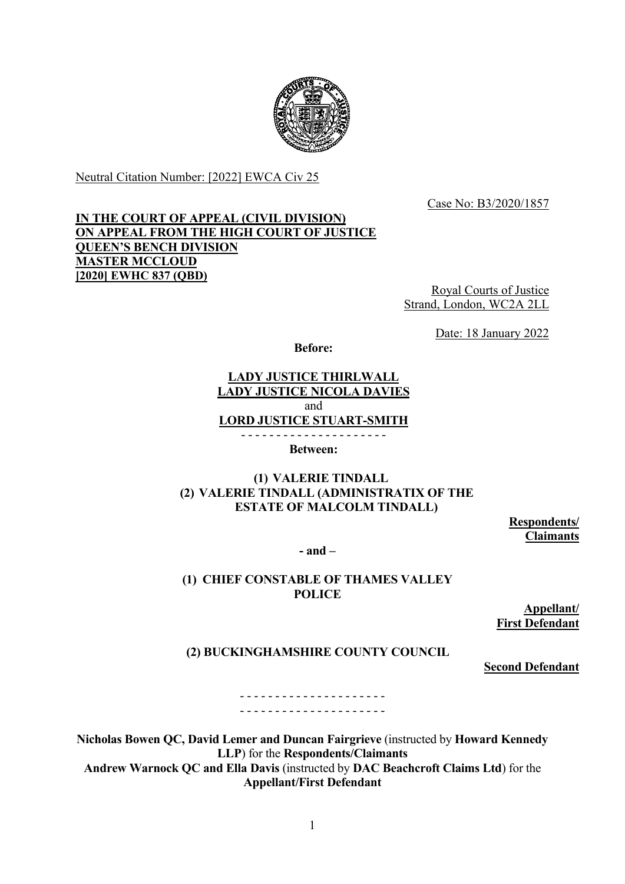

Neutral Citation Number: [2022] EWCA Civ 25

Case No: B3/2020/1857

# **IN THE COURT OF APPEAL (CIVIL DIVISION) ON APPEAL FROM THE HIGH COURT OF JUSTICE QUEEN'S BENCH DIVISION MASTER MCCLOUD [2020] EWHC 837 (QBD)**

Royal Courts of Justice Strand, London, WC2A 2LL

Date: 18 January 2022

**Before:**

### **LADY JUSTICE THIRLWALL LADY JUSTICE NICOLA DAVIES**  and **LORD JUSTICE STUART-SMITH** - - - - - - - - - - - - - - - - - - - - -

**Between:**

# **(1) VALERIE TINDALL (2) VALERIE TINDALL (ADMINISTRATIX OF THE ESTATE OF MALCOLM TINDALL)**

**Respondents/ Claimants**

**- and –**

# **(1) CHIEF CONSTABLE OF THAMES VALLEY POLICE**

**Appellant/ First Defendant**

# **(2) BUCKINGHAMSHIRE COUNTY COUNCIL**

**Second Defendant**

- - - - - - - - - - - - - - - - - - - - - - - - - - - - - - - - - - - - - - - - - -

**Nicholas Bowen QC, David Lemer and Duncan Fairgrieve** (instructed by **Howard Kennedy LLP**) for the **Respondents/Claimants Andrew Warnock QC and Ella Davis** (instructed by **DAC Beachcroft Claims Ltd**) for the **Appellant/First Defendant**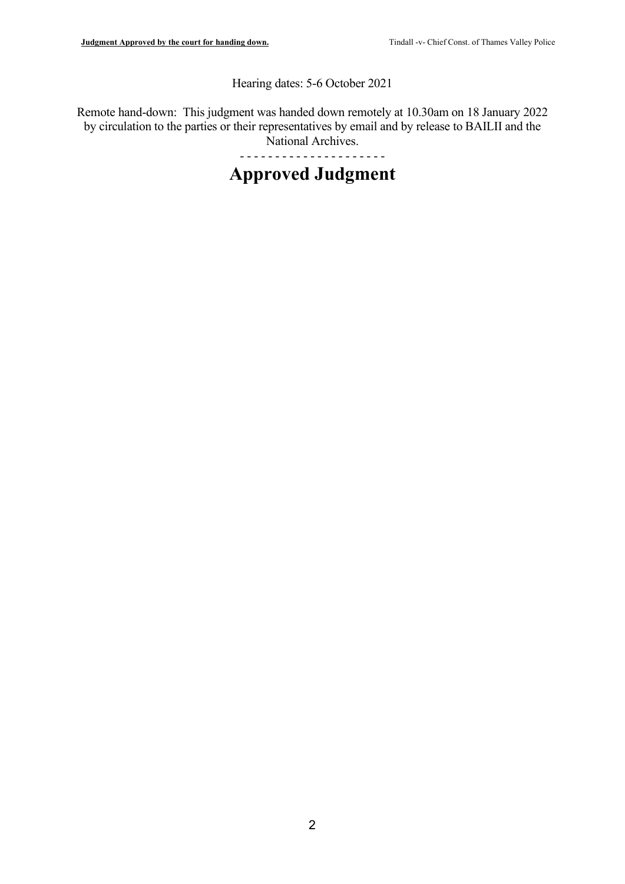Hearing dates: 5-6 October 2021

Remote hand-down: This judgment was handed down remotely at 10.30am on 18 January 2022 by circulation to the parties or their representatives by email and by release to BAILII and the National Archives.

- - - - - - - - - - - - - - - - - - - - -

# **Approved Judgment**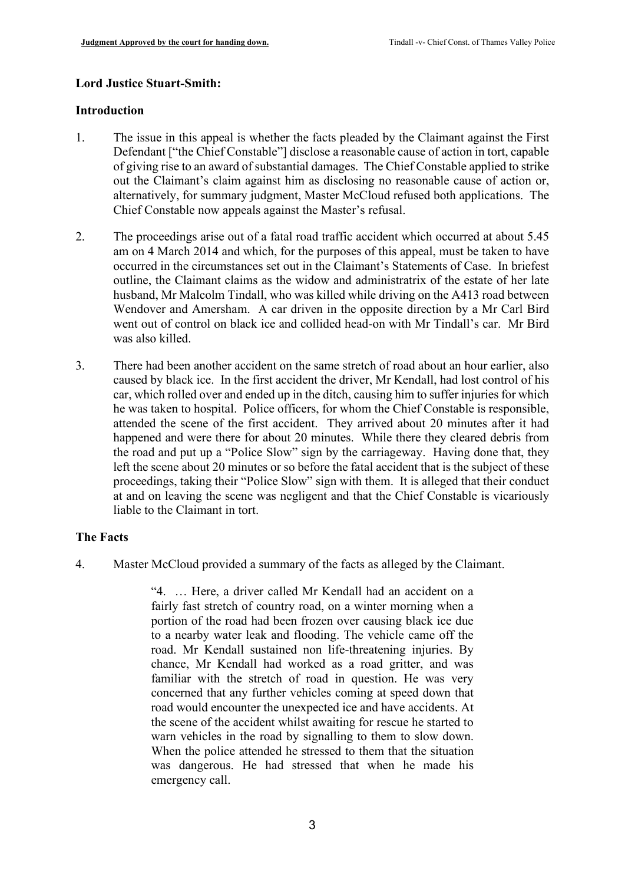#### **Lord Justice Stuart-Smith:**

#### **Introduction**

- 1. The issue in this appeal is whether the facts pleaded by the Claimant against the First Defendant ["the Chief Constable"] disclose a reasonable cause of action in tort, capable of giving rise to an award of substantial damages. The Chief Constable applied to strike out the Claimant's claim against him as disclosing no reasonable cause of action or, alternatively, for summary judgment, Master McCloud refused both applications. The Chief Constable now appeals against the Master's refusal.
- 2. The proceedings arise out of a fatal road traffic accident which occurred at about 5.45 am on 4 March 2014 and which, for the purposes of this appeal, must be taken to have occurred in the circumstances set out in the Claimant's Statements of Case. In briefest outline, the Claimant claims as the widow and administratrix of the estate of her late husband, Mr Malcolm Tindall, who was killed while driving on the A413 road between Wendover and Amersham. A car driven in the opposite direction by a Mr Carl Bird went out of control on black ice and collided head-on with Mr Tindall's car. Mr Bird was also killed.
- 3. There had been another accident on the same stretch of road about an hour earlier, also caused by black ice. In the first accident the driver, Mr Kendall, had lost control of his car, which rolled over and ended up in the ditch, causing him to suffer injuries for which he was taken to hospital. Police officers, for whom the Chief Constable is responsible, attended the scene of the first accident. They arrived about 20 minutes after it had happened and were there for about 20 minutes. While there they cleared debris from the road and put up a "Police Slow" sign by the carriageway. Having done that, they left the scene about 20 minutes or so before the fatal accident that is the subject of these proceedings, taking their "Police Slow" sign with them. It is alleged that their conduct at and on leaving the scene was negligent and that the Chief Constable is vicariously liable to the Claimant in tort.

## **The Facts**

4. Master McCloud provided a summary of the facts as alleged by the Claimant.

"4. … Here, a driver called Mr Kendall had an accident on a fairly fast stretch of country road, on a winter morning when a portion of the road had been frozen over causing black ice due to a nearby water leak and flooding. The vehicle came off the road. Mr Kendall sustained non life-threatening injuries. By chance, Mr Kendall had worked as a road gritter, and was familiar with the stretch of road in question. He was very concerned that any further vehicles coming at speed down that road would encounter the unexpected ice and have accidents. At the scene of the accident whilst awaiting for rescue he started to warn vehicles in the road by signalling to them to slow down. When the police attended he stressed to them that the situation was dangerous. He had stressed that when he made his emergency call.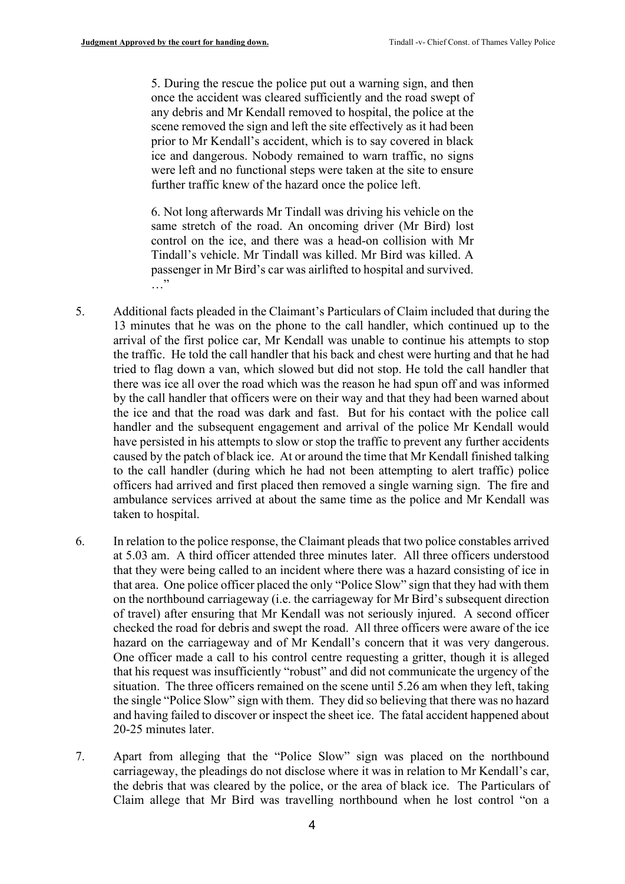5. During the rescue the police put out a warning sign, and then once the accident was cleared sufficiently and the road swept of any debris and Mr Kendall removed to hospital, the police at the scene removed the sign and left the site effectively as it had been prior to Mr Kendall's accident, which is to say covered in black ice and dangerous. Nobody remained to warn traffic, no signs were left and no functional steps were taken at the site to ensure further traffic knew of the hazard once the police left.

6. Not long afterwards Mr Tindall was driving his vehicle on the same stretch of the road. An oncoming driver (Mr Bird) lost control on the ice, and there was a head-on collision with Mr Tindall's vehicle. Mr Tindall was killed. Mr Bird was killed. A passenger in Mr Bird's car was airlifted to hospital and survived. …"

- 5. Additional facts pleaded in the Claimant's Particulars of Claim included that during the 13 minutes that he was on the phone to the call handler, which continued up to the arrival of the first police car, Mr Kendall was unable to continue his attempts to stop the traffic. He told the call handler that his back and chest were hurting and that he had tried to flag down a van, which slowed but did not stop. He told the call handler that there was ice all over the road which was the reason he had spun off and was informed by the call handler that officers were on their way and that they had been warned about the ice and that the road was dark and fast. But for his contact with the police call handler and the subsequent engagement and arrival of the police Mr Kendall would have persisted in his attempts to slow or stop the traffic to prevent any further accidents caused by the patch of black ice. At or around the time that Mr Kendall finished talking to the call handler (during which he had not been attempting to alert traffic) police officers had arrived and first placed then removed a single warning sign. The fire and ambulance services arrived at about the same time as the police and Mr Kendall was taken to hospital.
- 6. In relation to the police response, the Claimant pleads that two police constables arrived at 5.03 am. A third officer attended three minutes later. All three officers understood that they were being called to an incident where there was a hazard consisting of ice in that area. One police officer placed the only "Police Slow" sign that they had with them on the northbound carriageway (i.e. the carriageway for Mr Bird's subsequent direction of travel) after ensuring that Mr Kendall was not seriously injured. A second officer checked the road for debris and swept the road. All three officers were aware of the ice hazard on the carriageway and of Mr Kendall's concern that it was very dangerous. One officer made a call to his control centre requesting a gritter, though it is alleged that his request was insufficiently "robust" and did not communicate the urgency of the situation. The three officers remained on the scene until 5.26 am when they left, taking the single "Police Slow" sign with them. They did so believing that there was no hazard and having failed to discover or inspect the sheet ice. The fatal accident happened about 20-25 minutes later.
- 7. Apart from alleging that the "Police Slow" sign was placed on the northbound carriageway, the pleadings do not disclose where it was in relation to Mr Kendall's car, the debris that was cleared by the police, or the area of black ice. The Particulars of Claim allege that Mr Bird was travelling northbound when he lost control "on a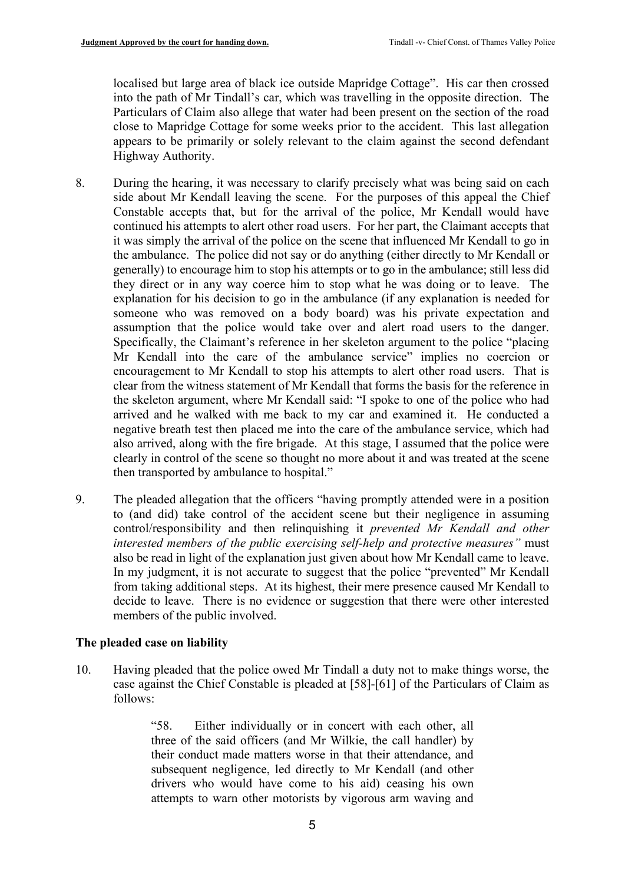localised but large area of black ice outside Mapridge Cottage". His car then crossed into the path of Mr Tindall's car, which was travelling in the opposite direction. The Particulars of Claim also allege that water had been present on the section of the road close to Mapridge Cottage for some weeks prior to the accident. This last allegation appears to be primarily or solely relevant to the claim against the second defendant Highway Authority.

- <span id="page-4-0"></span>8. During the hearing, it was necessary to clarify precisely what was being said on each side about Mr Kendall leaving the scene. For the purposes of this appeal the Chief Constable accepts that, but for the arrival of the police, Mr Kendall would have continued his attempts to alert other road users. For her part, the Claimant accepts that it was simply the arrival of the police on the scene that influenced Mr Kendall to go in the ambulance. The police did not say or do anything (either directly to Mr Kendall or generally) to encourage him to stop his attempts or to go in the ambulance; still less did they direct or in any way coerce him to stop what he was doing or to leave. The explanation for his decision to go in the ambulance (if any explanation is needed for someone who was removed on a body board) was his private expectation and assumption that the police would take over and alert road users to the danger. Specifically, the Claimant's reference in her skeleton argument to the police "placing Mr Kendall into the care of the ambulance service" implies no coercion or encouragement to Mr Kendall to stop his attempts to alert other road users. That is clear from the witness statement of Mr Kendall that forms the basis for the reference in the skeleton argument, where Mr Kendall said: "I spoke to one of the police who had arrived and he walked with me back to my car and examined it. He conducted a negative breath test then placed me into the care of the ambulance service, which had also arrived, along with the fire brigade. At this stage, I assumed that the police were clearly in control of the scene so thought no more about it and was treated at the scene then transported by ambulance to hospital."
- <span id="page-4-1"></span>9. The pleaded allegation that the officers "having promptly attended were in a position to (and did) take control of the accident scene but their negligence in assuming control/responsibility and then relinquishing it *prevented Mr Kendall and other interested members of the public exercising self-help and protective measures"* must also be read in light of the explanation just given about how Mr Kendall came to leave. In my judgment, it is not accurate to suggest that the police "prevented" Mr Kendall from taking additional steps. At its highest, their mere presence caused Mr Kendall to decide to leave. There is no evidence or suggestion that there were other interested members of the public involved.

## **The pleaded case on liability**

10. Having pleaded that the police owed Mr Tindall a duty not to make things worse, the case against the Chief Constable is pleaded at [58]-[61] of the Particulars of Claim as follows:

> "58. Either individually or in concert with each other, all three of the said officers (and Mr Wilkie, the call handler) by their conduct made matters worse in that their attendance, and subsequent negligence, led directly to Mr Kendall (and other drivers who would have come to his aid) ceasing his own attempts to warn other motorists by vigorous arm waving and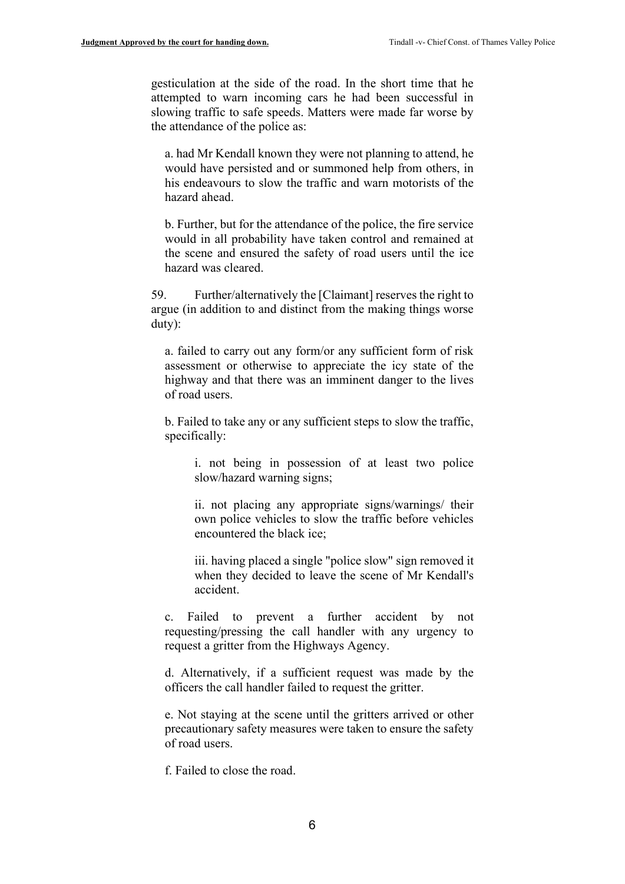gesticulation at the side of the road. In the short time that he attempted to warn incoming cars he had been successful in slowing traffic to safe speeds. Matters were made far worse by the attendance of the police as:

a. had Mr Kendall known they were not planning to attend, he would have persisted and or summoned help from others, in his endeavours to slow the traffic and warn motorists of the hazard ahead.

b. Further, but for the attendance of the police, the fire service would in all probability have taken control and remained at the scene and ensured the safety of road users until the ice hazard was cleared.

59. Further/alternatively the [Claimant] reserves the right to argue (in addition to and distinct from the making things worse duty):

a. failed to carry out any form/or any sufficient form of risk assessment or otherwise to appreciate the icy state of the highway and that there was an imminent danger to the lives of road users.

b. Failed to take any or any sufficient steps to slow the traffic, specifically:

i. not being in possession of at least two police slow/hazard warning signs;

ii. not placing any appropriate signs/warnings/ their own police vehicles to slow the traffic before vehicles encountered the black ice;

iii. having placed a single "police slow" sign removed it when they decided to leave the scene of Mr Kendall's accident.

c. Failed to prevent a further accident by not requesting/pressing the call handler with any urgency to request a gritter from the Highways Agency.

d. Alternatively, if a sufficient request was made by the officers the call handler failed to request the gritter.

e. Not staying at the scene until the gritters arrived or other precautionary safety measures were taken to ensure the safety of road users.

f. Failed to close the road.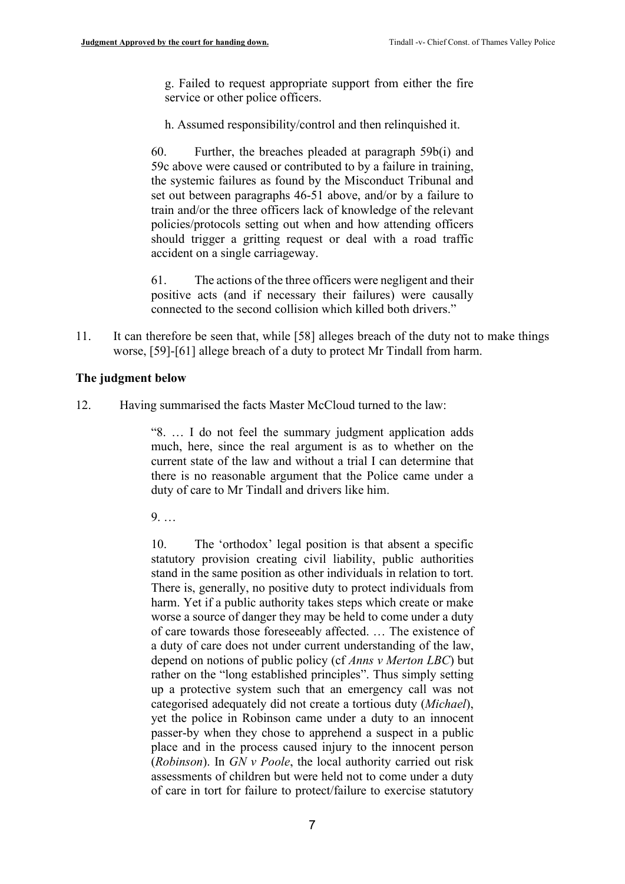g. Failed to request appropriate support from either the fire service or other police officers.

h. Assumed responsibility/control and then relinquished it.

60. Further, the breaches pleaded at paragraph 59b(i) and 59c above were caused or contributed to by a failure in training, the systemic failures as found by the Misconduct Tribunal and set out between paragraphs 46-51 above, and/or by a failure to train and/or the three officers lack of knowledge of the relevant policies/protocols setting out when and how attending officers should trigger a gritting request or deal with a road traffic accident on a single carriageway.

61. The actions of the three officers were negligent and their positive acts (and if necessary their failures) were causally connected to the second collision which killed both drivers."

11. It can therefore be seen that, while [58] alleges breach of the duty not to make things worse, [59]-[61] allege breach of a duty to protect Mr Tindall from harm.

#### **The judgment below**

12. Having summarised the facts Master McCloud turned to the law:

"8. … I do not feel the summary judgment application adds much, here, since the real argument is as to whether on the current state of the law and without a trial I can determine that there is no reasonable argument that the Police came under a duty of care to Mr Tindall and drivers like him.

9. …

10. The 'orthodox' legal position is that absent a specific statutory provision creating civil liability, public authorities stand in the same position as other individuals in relation to tort. There is, generally, no positive duty to protect individuals from harm. Yet if a public authority takes steps which create or make worse a source of danger they may be held to come under a duty of care towards those foreseeably affected. … The existence of a duty of care does not under current understanding of the law, depend on notions of public policy (cf *Anns v Merton LBC*) but rather on the "long established principles". Thus simply setting up a protective system such that an emergency call was not categorised adequately did not create a tortious duty (*Michael*), yet the police in Robinson came under a duty to an innocent passer-by when they chose to apprehend a suspect in a public place and in the process caused injury to the innocent person (*Robinson*). In *GN v Poole*, the local authority carried out risk assessments of children but were held not to come under a duty of care in tort for failure to protect/failure to exercise statutory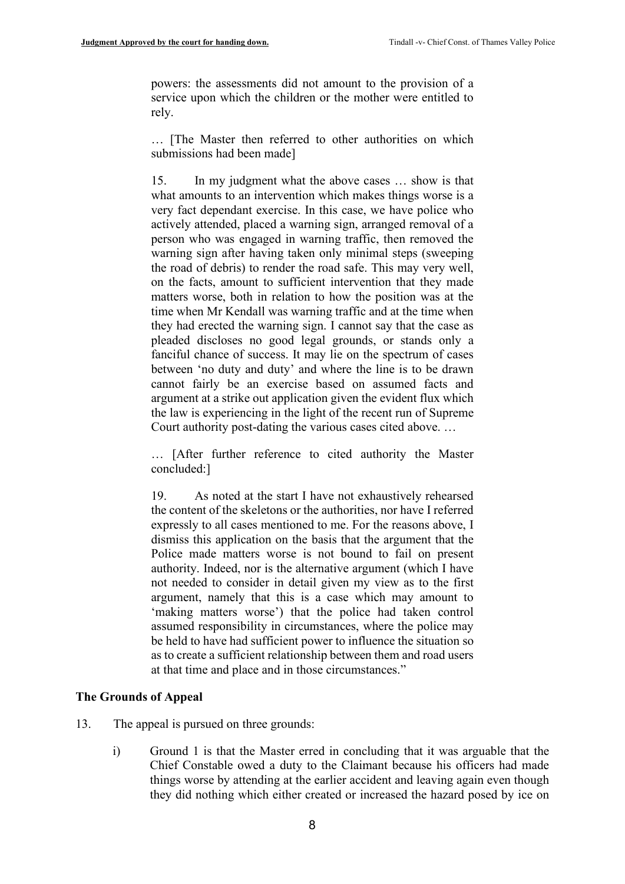powers: the assessments did not amount to the provision of a service upon which the children or the mother were entitled to rely.

… [The Master then referred to other authorities on which submissions had been made]

15. In my judgment what the above cases … show is that what amounts to an intervention which makes things worse is a very fact dependant exercise. In this case, we have police who actively attended, placed a warning sign, arranged removal of a person who was engaged in warning traffic, then removed the warning sign after having taken only minimal steps (sweeping the road of debris) to render the road safe. This may very well, on the facts, amount to sufficient intervention that they made matters worse, both in relation to how the position was at the time when Mr Kendall was warning traffic and at the time when they had erected the warning sign. I cannot say that the case as pleaded discloses no good legal grounds, or stands only a fanciful chance of success. It may lie on the spectrum of cases between 'no duty and duty' and where the line is to be drawn cannot fairly be an exercise based on assumed facts and argument at a strike out application given the evident flux which the law is experiencing in the light of the recent run of Supreme Court authority post-dating the various cases cited above. …

… [After further reference to cited authority the Master concluded:]

19. As noted at the start I have not exhaustively rehearsed the content of the skeletons or the authorities, nor have I referred expressly to all cases mentioned to me. For the reasons above, I dismiss this application on the basis that the argument that the Police made matters worse is not bound to fail on present authority. Indeed, nor is the alternative argument (which I have not needed to consider in detail given my view as to the first argument, namely that this is a case which may amount to 'making matters worse') that the police had taken control assumed responsibility in circumstances, where the police may be held to have had sufficient power to influence the situation so as to create a sufficient relationship between them and road users at that time and place and in those circumstances."

## **The Grounds of Appeal**

- 13. The appeal is pursued on three grounds:
	- i) Ground 1 is that the Master erred in concluding that it was arguable that the Chief Constable owed a duty to the Claimant because his officers had made things worse by attending at the earlier accident and leaving again even though they did nothing which either created or increased the hazard posed by ice on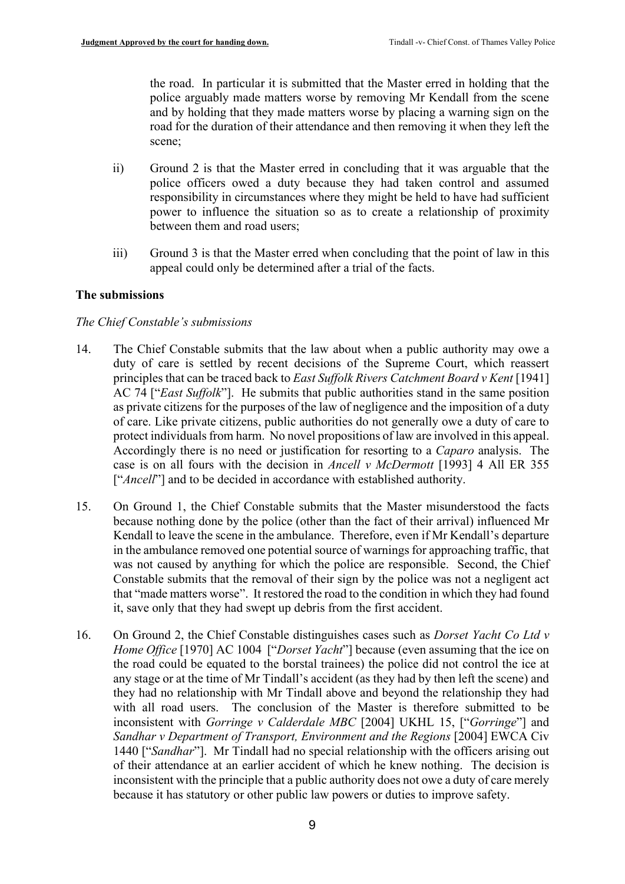the road. In particular it is submitted that the Master erred in holding that the police arguably made matters worse by removing Mr Kendall from the scene and by holding that they made matters worse by placing a warning sign on the road for the duration of their attendance and then removing it when they left the scene;

- ii) Ground 2 is that the Master erred in concluding that it was arguable that the police officers owed a duty because they had taken control and assumed responsibility in circumstances where they might be held to have had sufficient power to influence the situation so as to create a relationship of proximity between them and road users;
- iii) Ground 3 is that the Master erred when concluding that the point of law in this appeal could only be determined after a trial of the facts.

# **The submissions**

## *The Chief Constable's submissions*

- 14. The Chief Constable submits that the law about when a public authority may owe a duty of care is settled by recent decisions of the Supreme Court, which reassert principles that can be traced back to *East Suffolk Rivers Catchment Board v Kent* [1941] AC 74 ["*East Suffolk*"]. He submits that public authorities stand in the same position as private citizens for the purposes of the law of negligence and the imposition of a duty of care. Like private citizens, public authorities do not generally owe a duty of care to protect individuals from harm. No novel propositions of law are involved in this appeal. Accordingly there is no need or justification for resorting to a *Caparo* analysis. The case is on all fours with the decision in *Ancell v McDermott* [1993] 4 All ER 355 ["*Ancell*"] and to be decided in accordance with established authority.
- 15. On Ground 1, the Chief Constable submits that the Master misunderstood the facts because nothing done by the police (other than the fact of their arrival) influenced Mr Kendall to leave the scene in the ambulance. Therefore, even if Mr Kendall's departure in the ambulance removed one potential source of warnings for approaching traffic, that was not caused by anything for which the police are responsible. Second, the Chief Constable submits that the removal of their sign by the police was not a negligent act that "made matters worse". It restored the road to the condition in which they had found it, save only that they had swept up debris from the first accident.
- 16. On Ground 2, the Chief Constable distinguishes cases such as *Dorset Yacht Co Ltd v Home Office* [1970] AC 1004 ["*Dorset Yacht*"] because (even assuming that the ice on the road could be equated to the borstal trainees) the police did not control the ice at any stage or at the time of Mr Tindall's accident (as they had by then left the scene) and they had no relationship with Mr Tindall above and beyond the relationship they had with all road users. The conclusion of the Master is therefore submitted to be inconsistent with *Gorringe v Calderdale MBC* [2004] UKHL 15, ["*Gorringe*"] and *Sandhar v Department of Transport, Environment and the Regions* [2004] EWCA Civ 1440 ["*Sandhar*"]. Mr Tindall had no special relationship with the officers arising out of their attendance at an earlier accident of which he knew nothing. The decision is inconsistent with the principle that a public authority does not owe a duty of care merely because it has statutory or other public law powers or duties to improve safety.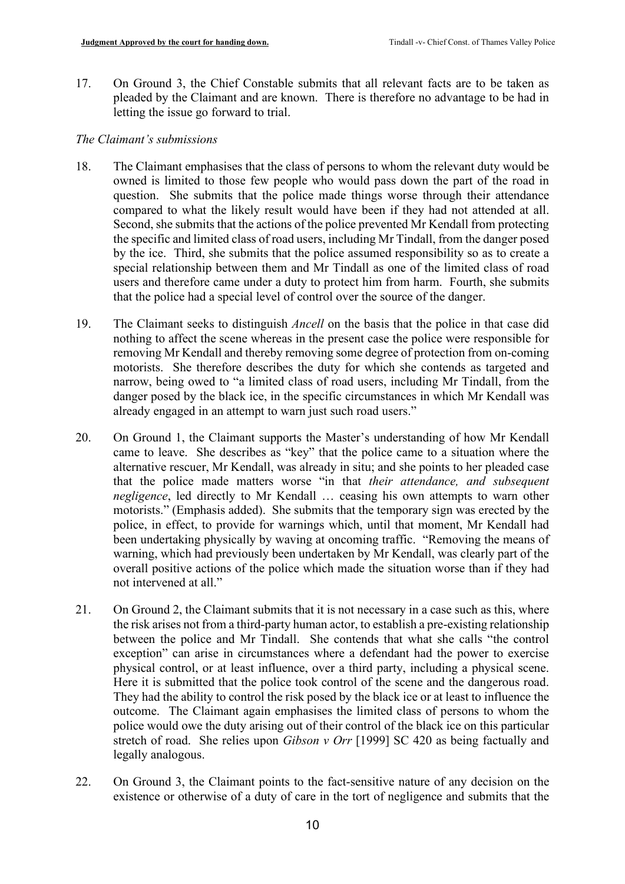17. On Ground 3, the Chief Constable submits that all relevant facts are to be taken as pleaded by the Claimant and are known. There is therefore no advantage to be had in letting the issue go forward to trial.

## *The Claimant's submissions*

- 18. The Claimant emphasises that the class of persons to whom the relevant duty would be owned is limited to those few people who would pass down the part of the road in question. She submits that the police made things worse through their attendance compared to what the likely result would have been if they had not attended at all. Second, she submits that the actions of the police prevented Mr Kendall from protecting the specific and limited class of road users, including Mr Tindall, from the danger posed by the ice. Third, she submits that the police assumed responsibility so as to create a special relationship between them and Mr Tindall as one of the limited class of road users and therefore came under a duty to protect him from harm. Fourth, she submits that the police had a special level of control over the source of the danger.
- 19. The Claimant seeks to distinguish *Ancell* on the basis that the police in that case did nothing to affect the scene whereas in the present case the police were responsible for removing Mr Kendall and thereby removing some degree of protection from on-coming motorists. She therefore describes the duty for which she contends as targeted and narrow, being owed to "a limited class of road users, including Mr Tindall, from the danger posed by the black ice, in the specific circumstances in which Mr Kendall was already engaged in an attempt to warn just such road users."
- 20. On Ground 1, the Claimant supports the Master's understanding of how Mr Kendall came to leave. She describes as "key" that the police came to a situation where the alternative rescuer, Mr Kendall, was already in situ; and she points to her pleaded case that the police made matters worse "in that *their attendance, and subsequent negligence*, led directly to Mr Kendall … ceasing his own attempts to warn other motorists." (Emphasis added). She submits that the temporary sign was erected by the police, in effect, to provide for warnings which, until that moment, Mr Kendall had been undertaking physically by waving at oncoming traffic. "Removing the means of warning, which had previously been undertaken by Mr Kendall, was clearly part of the overall positive actions of the police which made the situation worse than if they had not intervened at all."
- 21. On Ground 2, the Claimant submits that it is not necessary in a case such as this, where the risk arises not from a third-party human actor, to establish a pre-existing relationship between the police and Mr Tindall. She contends that what she calls "the control exception" can arise in circumstances where a defendant had the power to exercise physical control, or at least influence, over a third party, including a physical scene. Here it is submitted that the police took control of the scene and the dangerous road. They had the ability to control the risk posed by the black ice or at least to influence the outcome. The Claimant again emphasises the limited class of persons to whom the police would owe the duty arising out of their control of the black ice on this particular stretch of road. She relies upon *Gibson v Orr* [1999] SC 420 as being factually and legally analogous.
- 22. On Ground 3, the Claimant points to the fact-sensitive nature of any decision on the existence or otherwise of a duty of care in the tort of negligence and submits that the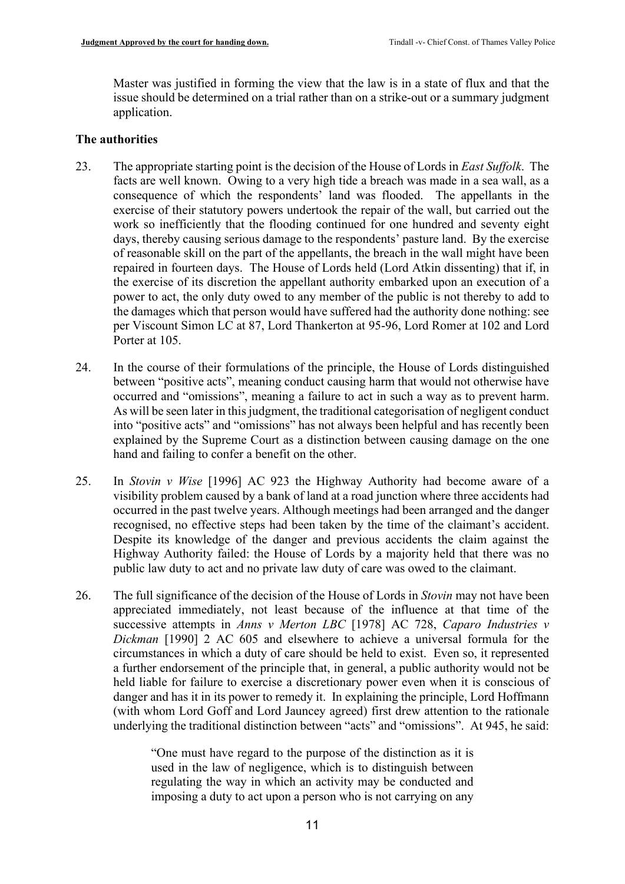Master was justified in forming the view that the law is in a state of flux and that the issue should be determined on a trial rather than on a strike-out or a summary judgment application.

# **The authorities**

- 23. The appropriate starting point is the decision of the House of Lords in *East Suffolk*. The facts are well known. Owing to a very high tide a breach was made in a sea wall, as a consequence of which the respondents' land was flooded. The appellants in the exercise of their statutory powers undertook the repair of the wall, but carried out the work so inefficiently that the flooding continued for one hundred and seventy eight days, thereby causing serious damage to the respondents' pasture land. By the exercise of reasonable skill on the part of the appellants, the breach in the wall might have been repaired in fourteen days. The House of Lords held (Lord Atkin dissenting) that if, in the exercise of its discretion the appellant authority embarked upon an execution of a power to act, the only duty owed to any member of the public is not thereby to add to the damages which that person would have suffered had the authority done nothing: see per Viscount Simon LC at 87, Lord Thankerton at 95-96, Lord Romer at 102 and Lord Porter at 105.
- 24. In the course of their formulations of the principle, the House of Lords distinguished between "positive acts", meaning conduct causing harm that would not otherwise have occurred and "omissions", meaning a failure to act in such a way as to prevent harm. As will be seen later in this judgment, the traditional categorisation of negligent conduct into "positive acts" and "omissions" has not always been helpful and has recently been explained by the Supreme Court as a distinction between causing damage on the one hand and failing to confer a benefit on the other.
- 25. In *Stovin v Wise* [1996] AC 923 the Highway Authority had become aware of a visibility problem caused by a bank of land at a road junction where three accidents had occurred in the past twelve years. Although meetings had been arranged and the danger recognised, no effective steps had been taken by the time of the claimant's accident. Despite its knowledge of the danger and previous accidents the claim against the Highway Authority failed: the House of Lords by a majority held that there was no public law duty to act and no private law duty of care was owed to the claimant.
- 26. The full significance of the decision of the House of Lords in *Stovin* may not have been appreciated immediately, not least because of the influence at that time of the successive attempts in *Anns v Merton LBC* [1978] AC 728, *Caparo Industries v Dickman* [1990] 2 AC 605 and elsewhere to achieve a universal formula for the circumstances in which a duty of care should be held to exist. Even so, it represented a further endorsement of the principle that, in general, a public authority would not be held liable for failure to exercise a discretionary power even when it is conscious of danger and has it in its power to remedy it. In explaining the principle, Lord Hoffmann (with whom Lord Goff and Lord Jauncey agreed) first drew attention to the rationale underlying the traditional distinction between "acts" and "omissions". At 945, he said:

"One must have regard to the purpose of the distinction as it is used in the law of negligence, which is to distinguish between regulating the way in which an activity may be conducted and imposing a duty to act upon a person who is not carrying on any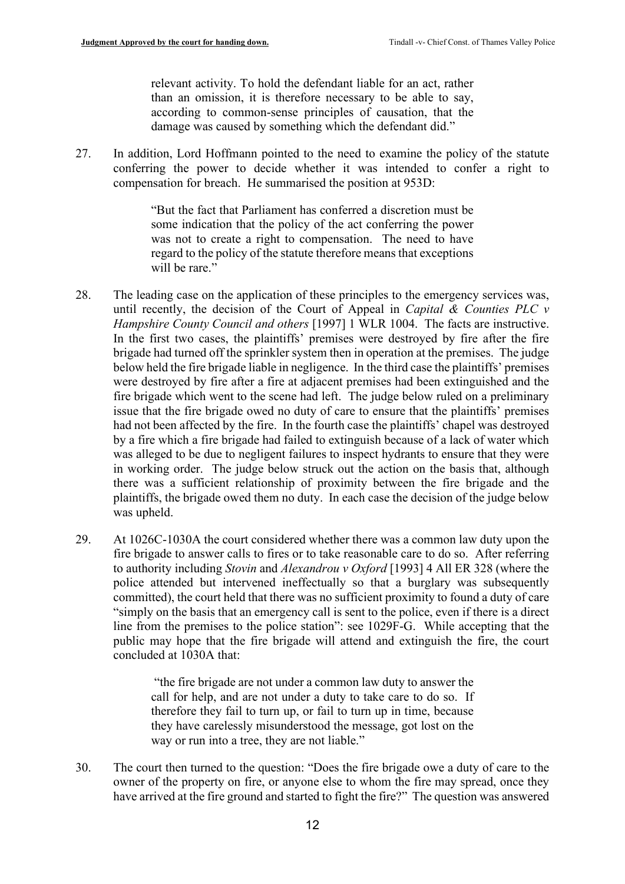relevant activity. To hold the defendant liable for an act, rather than an omission, it is therefore necessary to be able to say, according to common-sense principles of causation, that the damage was caused by something which the defendant did."

<span id="page-11-0"></span>27. In addition, Lord Hoffmann pointed to the need to examine the policy of the statute conferring the power to decide whether it was intended to confer a right to compensation for breach. He summarised the position at 953D:

> "But the fact that Parliament has conferred a discretion must be some indication that the policy of the act conferring the power was not to create a right to compensation. The need to have regard to the policy of the statute therefore means that exceptions will be rare."

- 28. The leading case on the application of these principles to the emergency services was, until recently, the decision of the Court of Appeal in *Capital & Counties PLC v Hampshire County Council and others* [1997] 1 WLR 1004. The facts are instructive. In the first two cases, the plaintiffs' premises were destroyed by fire after the fire brigade had turned off the sprinkler system then in operation at the premises. The judge below held the fire brigade liable in negligence. In the third case the plaintiffs' premises were destroyed by fire after a fire at adjacent premises had been extinguished and the fire brigade which went to the scene had left. The judge below ruled on a preliminary issue that the fire brigade owed no duty of care to ensure that the plaintiffs' premises had not been affected by the fire. In the fourth case the plaintiffs' chapel was destroyed by a fire which a fire brigade had failed to extinguish because of a lack of water which was alleged to be due to negligent failures to inspect hydrants to ensure that they were in working order. The judge below struck out the action on the basis that, although there was a sufficient relationship of proximity between the fire brigade and the plaintiffs, the brigade owed them no duty. In each case the decision of the judge below was upheld.
- 29. At 1026C-1030A the court considered whether there was a common law duty upon the fire brigade to answer calls to fires or to take reasonable care to do so. After referring to authority including *Stovin* and *Alexandrou v Oxford* [1993] 4 All ER 328 (where the police attended but intervened ineffectually so that a burglary was subsequently committed), the court held that there was no sufficient proximity to found a duty of care "simply on the basis that an emergency call is sent to the police, even if there is a direct line from the premises to the police station": see 1029F-G. While accepting that the public may hope that the fire brigade will attend and extinguish the fire, the court concluded at 1030A that:

"the fire brigade are not under a common law duty to answer the call for help, and are not under a duty to take care to do so. If therefore they fail to turn up, or fail to turn up in time, because they have carelessly misunderstood the message, got lost on the way or run into a tree, they are not liable."

30. The court then turned to the question: "Does the fire brigade owe a duty of care to the owner of the property on fire, or anyone else to whom the fire may spread, once they have arrived at the fire ground and started to fight the fire?" The question was answered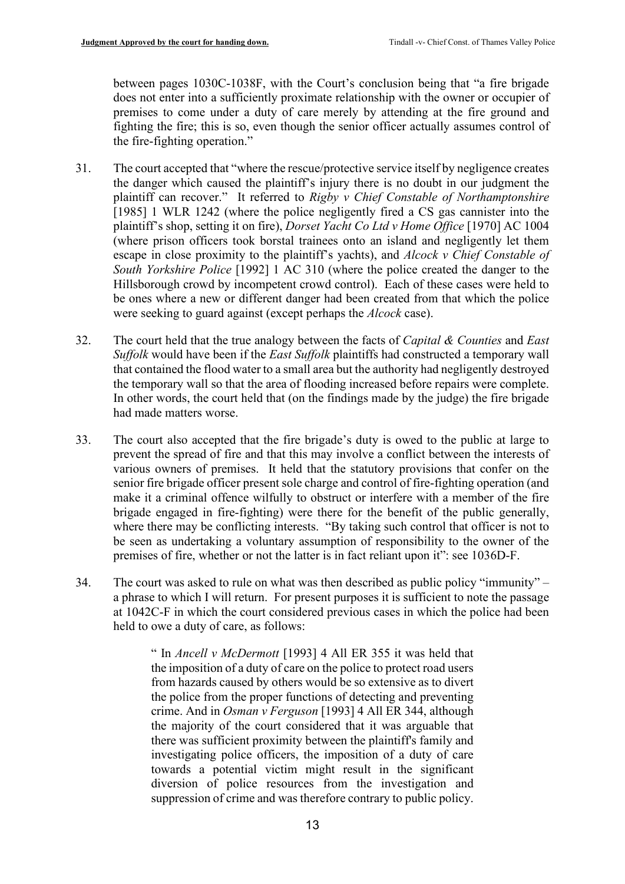between pages 1030C-1038F, with the Court's conclusion being that "a fire brigade does not enter into a sufficiently proximate relationship with the owner or occupier of premises to come under a duty of care merely by attending at the fire ground and fighting the fire; this is so, even though the senior officer actually assumes control of the fire-fighting operation."

- 31. The court accepted that "where the rescue/protective service itself by negligence creates the danger which caused the plaintiff's injury there is no doubt in our judgment the plaintiff can recover." It referred to *Rigby v Chief Constable of Northamptonshire*  [1985] 1 WLR 1242 (where the police negligently fired a CS gas cannister into the plaintiff's shop, setting it on fire), *Dorset Yacht Co Ltd v Home Office* [1970] AC 1004 (where prison officers took borstal trainees onto an island and negligently let them escape in close proximity to the plaintiff's yachts), and *Alcock v Chief Constable of South Yorkshire Police* [1992] 1 AC 310 (where the police created the danger to the Hillsborough crowd by incompetent crowd control). Each of these cases were held to be ones where a new or different danger had been created from that which the police were seeking to guard against (except perhaps the *Alcock* case).
- 32. The court held that the true analogy between the facts of *Capital & Counties* and *East Suffolk* would have been if the *East Suffolk* plaintiffs had constructed a temporary wall that contained the flood water to a small area but the authority had negligently destroyed the temporary wall so that the area of flooding increased before repairs were complete. In other words, the court held that (on the findings made by the judge) the fire brigade had made matters worse.
- 33. The court also accepted that the fire brigade's duty is owed to the public at large to prevent the spread of fire and that this may involve a conflict between the interests of various owners of premises. It held that the statutory provisions that confer on the senior fire brigade officer present sole charge and control of fire-fighting operation (and make it a criminal offence wilfully to obstruct or interfere with a member of the fire brigade engaged in fire-fighting) were there for the benefit of the public generally, where there may be conflicting interests. "By taking such control that officer is not to be seen as undertaking a voluntary assumption of responsibility to the owner of the premises of fire, whether or not the latter is in fact reliant upon it": see 1036D-F.
- 34. The court was asked to rule on what was then described as public policy "immunity" a phrase to which I will return. For present purposes it is sufficient to note the passage at 1042C-F in which the court considered previous cases in which the police had been held to owe a duty of care, as follows:

" In *Ancell v McDermott* [1993] 4 All ER 355 it was held that the imposition of a duty of care on the police to protect road users from hazards caused by others would be so extensive as to divert the police from the proper functions of detecting and preventing crime. And in *Osman v Ferguson* [1993] 4 All ER 344, although the majority of the court considered that it was arguable that there was sufficient proximity between the plaintiff's family and investigating police officers, the imposition of a duty of care towards a potential victim might result in the significant diversion of police resources from the investigation and suppression of crime and was therefore contrary to public policy.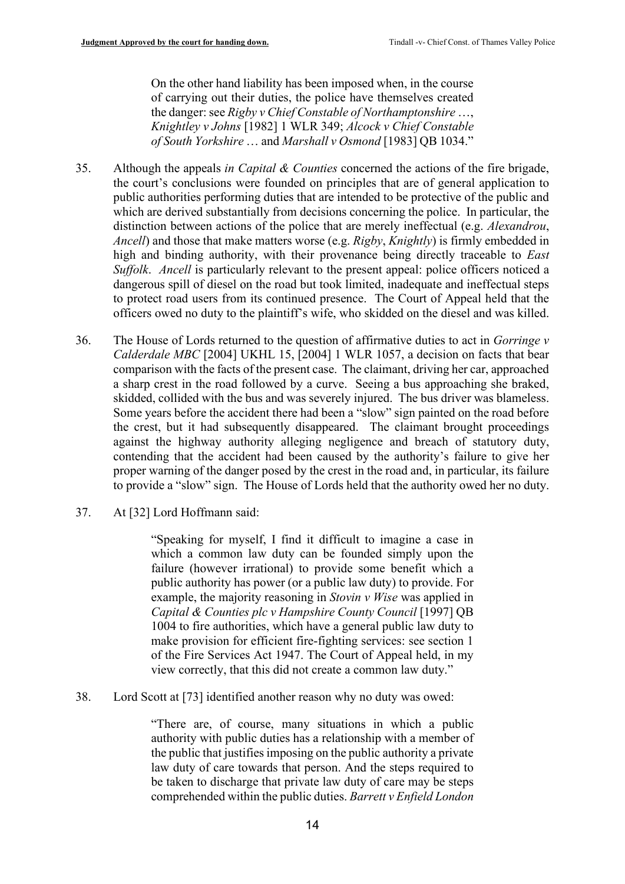On the other hand liability has been imposed when, in the course of carrying out their duties, the police have themselves created the danger: see *Rigby v Chief Constable of Northamptonshire* …, *Knightley v Johns* [1982] 1 WLR 349; *Alcock v Chief Constable of South Yorkshire* … and *Marshall v Osmond* [1983] QB 1034."

- 35. Although the appeals *in Capital & Counties* concerned the actions of the fire brigade, the court's conclusions were founded on principles that are of general application to public authorities performing duties that are intended to be protective of the public and which are derived substantially from decisions concerning the police. In particular, the distinction between actions of the police that are merely ineffectual (e.g. *Alexandrou*, *Ancell*) and those that make matters worse (e.g. *Rigby*, *Knightly*) is firmly embedded in high and binding authority, with their provenance being directly traceable to *East Suffolk. Ancell* is particularly relevant to the present appeal: police officers noticed a dangerous spill of diesel on the road but took limited, inadequate and ineffectual steps to protect road users from its continued presence. The Court of Appeal held that the officers owed no duty to the plaintiff's wife, who skidded on the diesel and was killed.
- 36. The House of Lords returned to the question of affirmative duties to act in *Gorringe v Calderdale MBC* [2004] UKHL 15, [2004] 1 WLR 1057, a decision on facts that bear comparison with the facts of the present case. The claimant, driving her car, approached a sharp crest in the road followed by a curve. Seeing a bus approaching she braked, skidded, collided with the bus and was severely injured. The bus driver was blameless. Some years before the accident there had been a "slow" sign painted on the road before the crest, but it had subsequently disappeared. The claimant brought proceedings against the highway authority alleging negligence and breach of statutory duty, contending that the accident had been caused by the authority's failure to give her proper warning of the danger posed by the crest in the road and, in particular, its failure to provide a "slow" sign. The House of Lords held that the authority owed her no duty.
- 37. At [32] Lord Hoffmann said:

"Speaking for myself, I find it difficult to imagine a case in which a common law duty can be founded simply upon the failure (however irrational) to provide some benefit which a public authority has power (or a public law duty) to provide. For example, the majority reasoning in *Stovin v Wise* was applied in *Capital & Counties plc v Hampshire County Council* [1997] QB 1004 to fire authorities, which have a general public law duty to make provision for efficient fire-fighting services: see section 1 of the Fire Services Act 1947. The Court of Appeal held, in my view correctly, that this did not create a common law duty."

38. Lord Scott at [73] identified another reason why no duty was owed:

"There are, of course, many situations in which a public authority with public duties has a relationship with a member of the public that justifies imposing on the public authority a private law duty of care towards that person. And the steps required to be taken to discharge that private law duty of care may be steps comprehended within the public duties. *Barrett v Enfield London*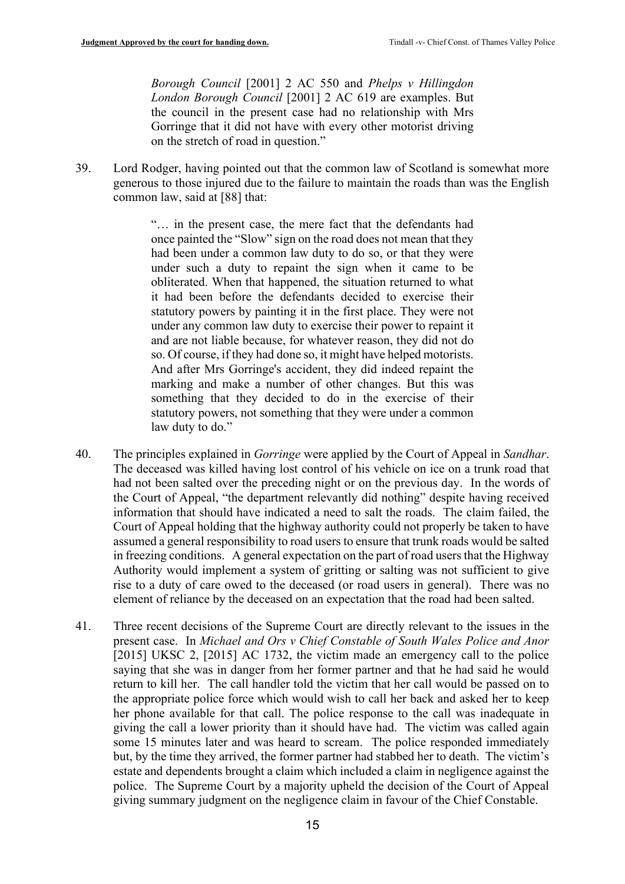*Borough Council* [2001] 2 AC 550 and *Phelps v Hillingdon London Borough Council* [2001] 2 AC 619 are examples. But the council in the present case had no relationship with Mrs Gorringe that it did not have with every other motorist driving on the stretch of road in question."

39. Lord Rodger, having pointed out that the common law of Scotland is somewhat more generous to those injured due to the failure to maintain the roads than was the English common law, said at [88] that:

> "… in the present case, the mere fact that the defendants had once painted the "Slow" sign on the road does not mean that they had been under a common law duty to do so, or that they were under such a duty to repaint the sign when it came to be obliterated. When that happened, the situation returned to what it had been before the defendants decided to exercise their statutory powers by painting it in the first place. They were not under any common law duty to exercise their power to repaint it and are not liable because, for whatever reason, they did not do so. Of course, if they had done so, it might have helped motorists. And after Mrs Gorringe's accident, they did indeed repaint the marking and make a number of other changes. But this was something that they decided to do in the exercise of their statutory powers, not something that they were under a common law duty to do."

- 40. The principles explained in *Gorringe* were applied by the Court of Appeal in *Sandhar*. The deceased was killed having lost control of his vehicle on ice on a trunk road that had not been salted over the preceding night or on the previous day. In the words of the Court of Appeal, "the department relevantly did nothing" despite having received information that should have indicated a need to salt the roads. The claim failed, the Court of Appeal holding that the highway authority could not properly be taken to have assumed a general responsibility to road users to ensure that trunk roads would be salted in freezing conditions. A general expectation on the part of road users that the Highway Authority would implement a system of gritting or salting was not sufficient to give rise to a duty of care owed to the deceased (or road users in general). There was no element of reliance by the deceased on an expectation that the road had been salted.
- 41. Three recent decisions of the Supreme Court are directly relevant to the issues in the present case. In *Michael and Ors v Chief Constable of South Wales Police and Anor* [2015] UKSC 2, [2015] AC 1732, the victim made an emergency call to the police saying that she was in danger from her former partner and that he had said he would return to kill her. The call handler told the victim that her call would be passed on to the appropriate police force which would wish to call her back and asked her to keep her phone available for that call. The police response to the call was inadequate in giving the call a lower priority than it should have had. The victim was called again some 15 minutes later and was heard to scream. The police responded immediately but, by the time they arrived, the former partner had stabbed her to death. The victim's estate and dependents brought a claim which included a claim in negligence against the police. The Supreme Court by a majority upheld the decision of the Court of Appeal giving summary judgment on the negligence claim in favour of the Chief Constable.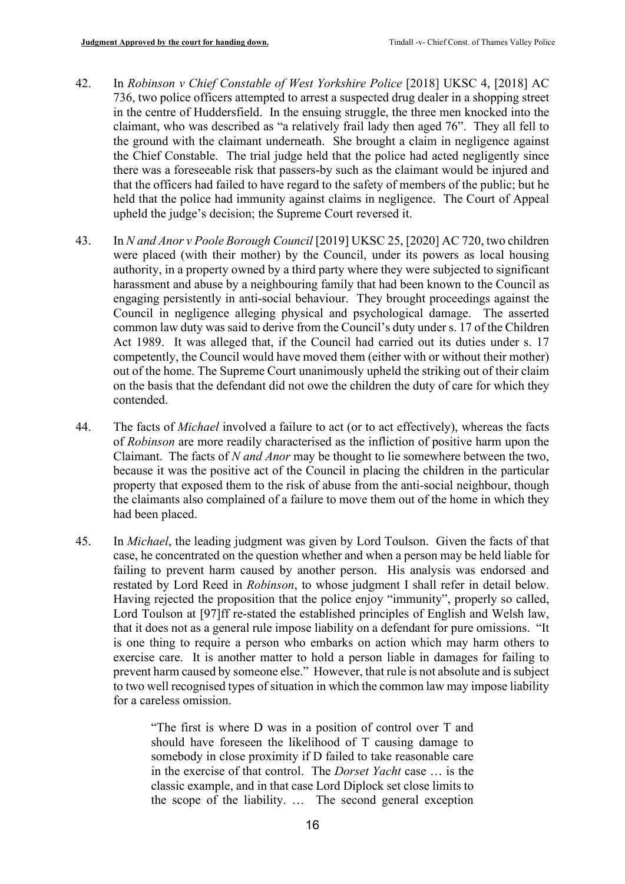- 42. In *Robinson v Chief Constable of West Yorkshire Police* [2018] UKSC 4, [2018] AC 736, two police officers attempted to arrest a suspected drug dealer in a shopping street in the centre of Huddersfield. In the ensuing struggle, the three men knocked into the claimant, who was described as "a relatively frail lady then aged 76". They all fell to the ground with the claimant underneath. She brought a claim in negligence against the Chief Constable. The trial judge held that the police had acted negligently since there was a foreseeable risk that passers-by such as the claimant would be injured and that the officers had failed to have regard to the safety of members of the public; but he held that the police had immunity against claims in negligence. The Court of Appeal upheld the judge's decision; the Supreme Court reversed it.
- 43. In *N and Anor v Poole Borough Council* [2019] UKSC 25, [2020] AC 720, two children were placed (with their mother) by the Council, under its powers as local housing authority, in a property owned by a third party where they were subjected to significant harassment and abuse by a neighbouring family that had been known to the Council as engaging persistently in anti-social behaviour. They brought proceedings against the Council in negligence alleging physical and psychological damage. The asserted common law duty was said to derive from the Council's duty under s. 17 of the Children Act 1989. It was alleged that, if the Council had carried out its duties under s. 17 competently, the Council would have moved them (either with or without their mother) out of the home. The Supreme Court unanimously upheld the striking out of their claim on the basis that the defendant did not owe the children the duty of care for which they contended.
- 44. The facts of *Michael* involved a failure to act (or to act effectively), whereas the facts of *Robinson* are more readily characterised as the infliction of positive harm upon the Claimant. The facts of *N and Anor* may be thought to lie somewhere between the two, because it was the positive act of the Council in placing the children in the particular property that exposed them to the risk of abuse from the anti-social neighbour, though the claimants also complained of a failure to move them out of the home in which they had been placed.
- <span id="page-15-0"></span>45. In *Michael*, the leading judgment was given by Lord Toulson. Given the facts of that case, he concentrated on the question whether and when a person may be held liable for failing to prevent harm caused by another person. His analysis was endorsed and restated by Lord Reed in *Robinson*, to whose judgment I shall refer in detail below. Having rejected the proposition that the police enjoy "immunity", properly so called, Lord Toulson at [97]ff re-stated the established principles of English and Welsh law, that it does not as a general rule impose liability on a defendant for pure omissions. "It is one thing to require a person who embarks on action which may harm others to exercise care. It is another matter to hold a person liable in damages for failing to prevent harm caused by someone else." However, that rule is not absolute and is subject to two well recognised types of situation in which the common law may impose liability for a careless omission.

"The first is where D was in a position of control over T and should have foreseen the likelihood of T causing damage to somebody in close proximity if D failed to take reasonable care in the exercise of that control. The *Dorset Yacht* case … is the classic example, and in that case Lord Diplock set close limits to the scope of the liability. … The second general exception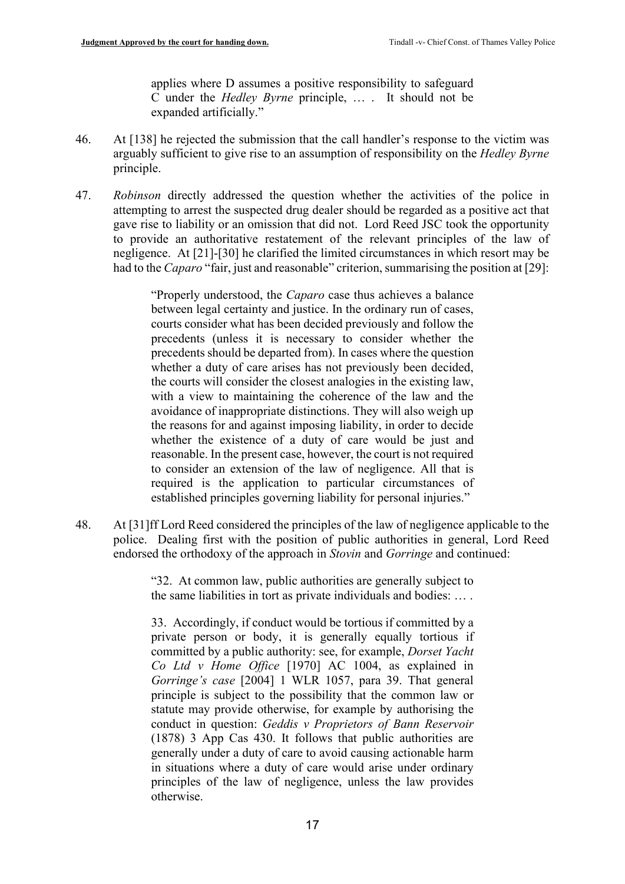applies where D assumes a positive responsibility to safeguard C under the *Hedley Byrne* principle, … . It should not be expanded artificially."

- 46. At [138] he rejected the submission that the call handler's response to the victim was arguably sufficient to give rise to an assumption of responsibility on the *Hedley Byrne* principle.
- 47. *Robinson* directly addressed the question whether the activities of the police in attempting to arrest the suspected drug dealer should be regarded as a positive act that gave rise to liability or an omission that did not. Lord Reed JSC took the opportunity to provide an authoritative restatement of the relevant principles of the law of negligence. At [21]-[30] he clarified the limited circumstances in which resort may be had to the *Caparo* "fair, just and reasonable" criterion, summarising the position at [29]:

"Properly understood, the *Caparo* case thus achieves a balance between legal certainty and justice. In the ordinary run of cases, courts consider what has been decided previously and follow the precedents (unless it is necessary to consider whether the precedents should be departed from). In cases where the question whether a duty of care arises has not previously been decided, the courts will consider the closest analogies in the existing law, with a view to maintaining the coherence of the law and the avoidance of inappropriate distinctions. They will also weigh up the reasons for and against imposing liability, in order to decide whether the existence of a duty of care would be just and reasonable. In the present case, however, the court is not required to consider an extension of the law of negligence. All that is required is the application to particular circumstances of established principles governing liability for personal injuries."

48. At [31]ff Lord Reed considered the principles of the law of negligence applicable to the police. Dealing first with the position of public authorities in general, Lord Reed endorsed the orthodoxy of the approach in *Stovin* and *Gorringe* and continued:

> "32. At common law, public authorities are generally subject to the same liabilities in tort as private individuals and bodies: … .

> 33. Accordingly, if conduct would be tortious if committed by a private person or body, it is generally equally tortious if committed by a public authority: see, for example, *Dorset Yacht Co Ltd v Home Office* [1970] AC 1004, as explained in *Gorringe's case* [2004] 1 WLR 1057, para 39. That general principle is subject to the possibility that the common law or statute may provide otherwise, for example by authorising the conduct in question: *Geddis v Proprietors of Bann Reservoir* (1878) 3 App Cas 430. It follows that public authorities are generally under a duty of care to avoid causing actionable harm in situations where a duty of care would arise under ordinary principles of the law of negligence, unless the law provides otherwise.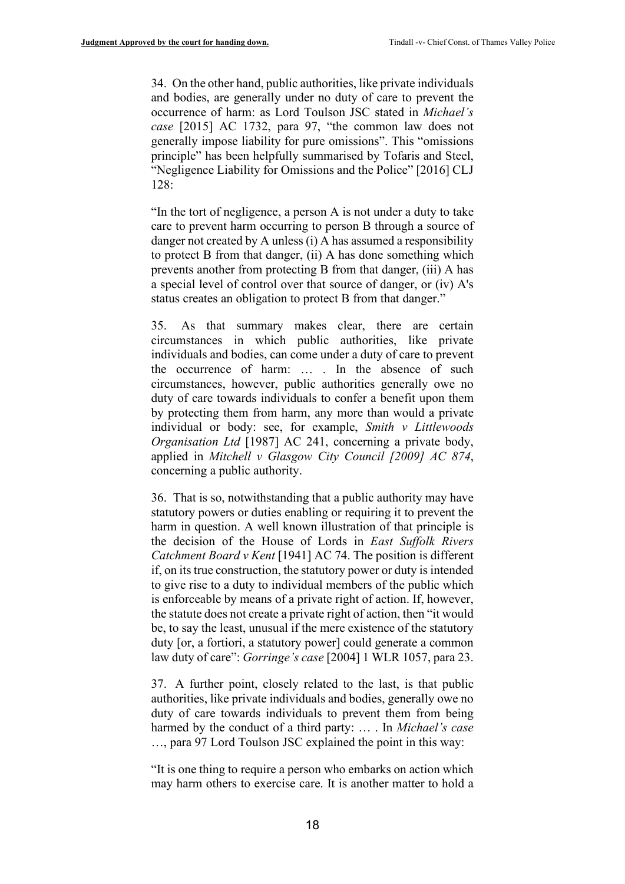34. On the other hand, public authorities, like private individuals and bodies, are generally under no duty of care to prevent the occurrence of harm: as Lord Toulson JSC stated in *Michael's case* [2015] AC 1732, para 97, "the common law does not generally impose liability for pure omissions". This "omissions principle" has been helpfully summarised by Tofaris and Steel, "Negligence Liability for Omissions and the Police" [2016] CLJ 128:

"In the tort of negligence, a person A is not under a duty to take care to prevent harm occurring to person B through a source of danger not created by A unless (i) A has assumed a responsibility to protect B from that danger, (ii) A has done something which prevents another from protecting B from that danger, (iii) A has a special level of control over that source of danger, or (iv) A's status creates an obligation to protect B from that danger."

35. As that summary makes clear, there are certain circumstances in which public authorities, like private individuals and bodies, can come under a duty of care to prevent the occurrence of harm: … . In the absence of such circumstances, however, public authorities generally owe no duty of care towards individuals to confer a benefit upon them by protecting them from harm, any more than would a private individual or body: see, for example, *Smith v Littlewoods Organisation Ltd* [1987] AC 241, concerning a private body, applied in *Mitchell v Glasgow City Council [2009] AC 874*, concerning a public authority.

36. That is so, notwithstanding that a public authority may have statutory powers or duties enabling or requiring it to prevent the harm in question. A well known illustration of that principle is the decision of the House of Lords in *East Suffolk Rivers Catchment Board v Kent* [1941] AC 74. The position is different if, on its true construction, the statutory power or duty is intended to give rise to a duty to individual members of the public which is enforceable by means of a private right of action. If, however, the statute does not create a private right of action, then "it would be, to say the least, unusual if the mere existence of the statutory duty [or, a fortiori, a statutory power] could generate a common law duty of care": *Gorringe's case* [2004] 1 WLR 1057, para 23.

37. A further point, closely related to the last, is that public authorities, like private individuals and bodies, generally owe no duty of care towards individuals to prevent them from being harmed by the conduct of a third party: … . In *Michael's case* …, para 97 Lord Toulson JSC explained the point in this way:

"It is one thing to require a person who embarks on action which may harm others to exercise care. It is another matter to hold a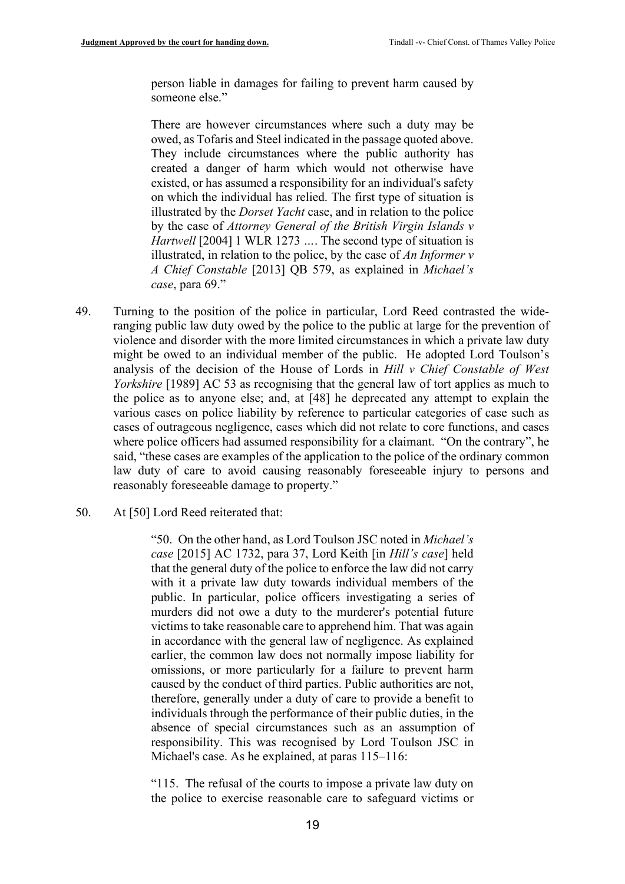person liable in damages for failing to prevent harm caused by someone else."

There are however circumstances where such a duty may be owed, as Tofaris and Steel indicated in the passage quoted above. They include circumstances where the public authority has created a danger of harm which would not otherwise have existed, or has assumed a responsibility for an individual's safety on which the individual has relied. The first type of situation is illustrated by the *Dorset Yacht* case, and in relation to the police by the case of *Attorney General of the British Virgin Islands v Hartwell* [2004] 1 WLR 1273 *…*. The second type of situation is illustrated, in relation to the police, by the case of *An Informer v A Chief Constable* [2013] QB 579, as explained in *Michael's case*, para 69."

- <span id="page-18-0"></span>49. Turning to the position of the police in particular, Lord Reed contrasted the wideranging public law duty owed by the police to the public at large for the prevention of violence and disorder with the more limited circumstances in which a private law duty might be owed to an individual member of the public. He adopted Lord Toulson's analysis of the decision of the House of Lords in *Hill v Chief Constable of West Yorkshire* [1989] AC 53 as recognising that the general law of tort applies as much to the police as to anyone else; and, at [48] he deprecated any attempt to explain the various cases on police liability by reference to particular categories of case such as cases of outrageous negligence, cases which did not relate to core functions, and cases where police officers had assumed responsibility for a claimant. "On the contrary", he said, "these cases are examples of the application to the police of the ordinary common law duty of care to avoid causing reasonably foreseeable injury to persons and reasonably foreseeable damage to property."
- 50. At [50] Lord Reed reiterated that:

"50. On the other hand, as Lord Toulson JSC noted in *Michael's case* [2015] AC 1732, para 37, Lord Keith [in *Hill's case*] held that the general duty of the police to enforce the law did not carry with it a private law duty towards individual members of the public. In particular, police officers investigating a series of murders did not owe a duty to the murderer's potential future victims to take reasonable care to apprehend him. That was again in accordance with the general law of negligence. As explained earlier, the common law does not normally impose liability for omissions, or more particularly for a failure to prevent harm caused by the conduct of third parties. Public authorities are not, therefore, generally under a duty of care to provide a benefit to individuals through the performance of their public duties, in the absence of special circumstances such as an assumption of responsibility. This was recognised by Lord Toulson JSC in Michael's case. As he explained, at paras 115–116:

"115. The refusal of the courts to impose a private law duty on the police to exercise reasonable care to safeguard victims or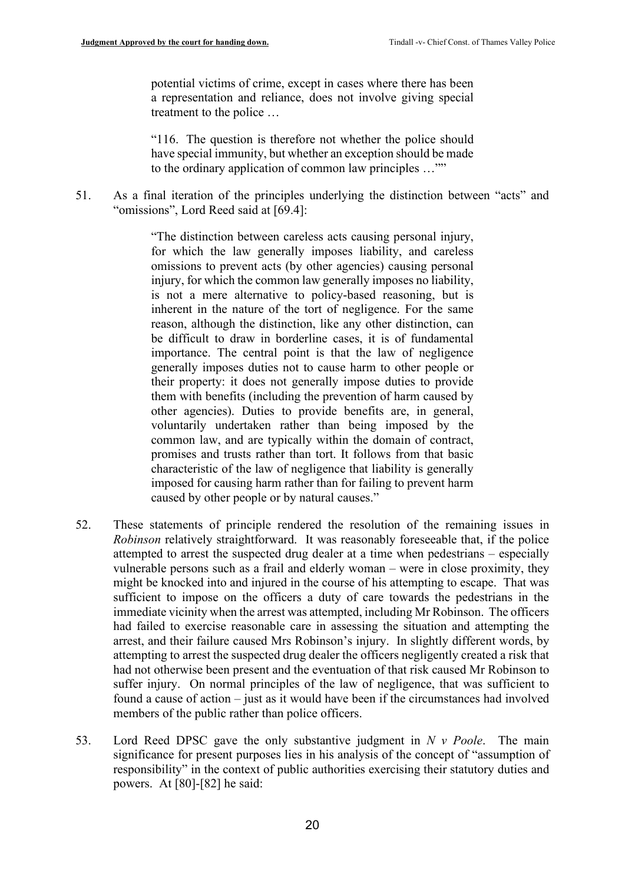potential victims of crime, except in cases where there has been a representation and reliance, does not involve giving special treatment to the police …

"116. The question is therefore not whether the police should have special immunity, but whether an exception should be made to the ordinary application of common law principles …""

51. As a final iteration of the principles underlying the distinction between "acts" and "omissions", Lord Reed said at [69.4]:

> "The distinction between careless acts causing personal injury, for which the law generally imposes liability, and careless omissions to prevent acts (by other agencies) causing personal injury, for which the common law generally imposes no liability, is not a mere alternative to policy-based reasoning, but is inherent in the nature of the tort of negligence. For the same reason, although the distinction, like any other distinction, can be difficult to draw in borderline cases, it is of fundamental importance. The central point is that the law of negligence generally imposes duties not to cause harm to other people or their property: it does not generally impose duties to provide them with benefits (including the prevention of harm caused by other agencies). Duties to provide benefits are, in general, voluntarily undertaken rather than being imposed by the common law, and are typically within the domain of contract, promises and trusts rather than tort. It follows from that basic characteristic of the law of negligence that liability is generally imposed for causing harm rather than for failing to prevent harm caused by other people or by natural causes."

- 52. These statements of principle rendered the resolution of the remaining issues in *Robinson* relatively straightforward. It was reasonably foreseeable that, if the police attempted to arrest the suspected drug dealer at a time when pedestrians – especially vulnerable persons such as a frail and elderly woman – were in close proximity, they might be knocked into and injured in the course of his attempting to escape. That was sufficient to impose on the officers a duty of care towards the pedestrians in the immediate vicinity when the arrest was attempted, including Mr Robinson. The officers had failed to exercise reasonable care in assessing the situation and attempting the arrest, and their failure caused Mrs Robinson's injury. In slightly different words, by attempting to arrest the suspected drug dealer the officers negligently created a risk that had not otherwise been present and the eventuation of that risk caused Mr Robinson to suffer injury. On normal principles of the law of negligence, that was sufficient to found a cause of action – just as it would have been if the circumstances had involved members of the public rather than police officers.
- 53. Lord Reed DPSC gave the only substantive judgment in *N v Poole*. The main significance for present purposes lies in his analysis of the concept of "assumption of responsibility" in the context of public authorities exercising their statutory duties and powers. At [80]-[82] he said: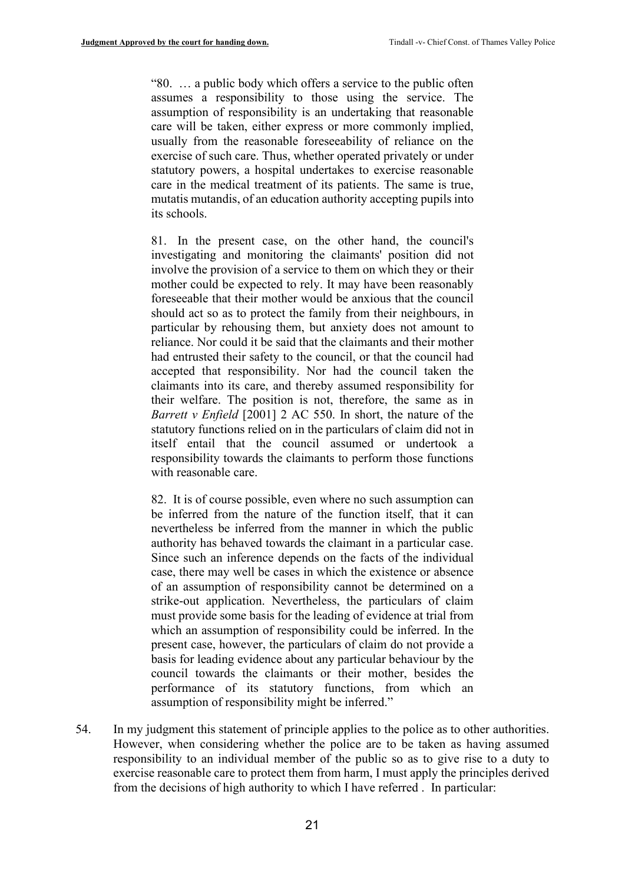"80. … a public body which offers a service to the public often assumes a responsibility to those using the service. The assumption of responsibility is an undertaking that reasonable care will be taken, either express or more commonly implied, usually from the reasonable foreseeability of reliance on the exercise of such care. Thus, whether operated privately or under statutory powers, a hospital undertakes to exercise reasonable care in the medical treatment of its patients. The same is true, mutatis mutandis, of an education authority accepting pupils into its schools.

81. In the present case, on the other hand, the council's investigating and monitoring the claimants' position did not involve the provision of a service to them on which they or their mother could be expected to rely. It may have been reasonably foreseeable that their mother would be anxious that the council should act so as to protect the family from their neighbours, in particular by rehousing them, but anxiety does not amount to reliance. Nor could it be said that the claimants and their mother had entrusted their safety to the council, or that the council had accepted that responsibility. Nor had the council taken the claimants into its care, and thereby assumed responsibility for their welfare. The position is not, therefore, the same as in *Barrett v Enfield* [2001] 2 AC 550. In short, the nature of the statutory functions relied on in the particulars of claim did not in itself entail that the council assumed or undertook a responsibility towards the claimants to perform those functions with reasonable care.

82. It is of course possible, even where no such assumption can be inferred from the nature of the function itself, that it can nevertheless be inferred from the manner in which the public authority has behaved towards the claimant in a particular case. Since such an inference depends on the facts of the individual case, there may well be cases in which the existence or absence of an assumption of responsibility cannot be determined on a strike-out application. Nevertheless, the particulars of claim must provide some basis for the leading of evidence at trial from which an assumption of responsibility could be inferred. In the present case, however, the particulars of claim do not provide a basis for leading evidence about any particular behaviour by the council towards the claimants or their mother, besides the performance of its statutory functions, from which an assumption of responsibility might be inferred."

54. In my judgment this statement of principle applies to the police as to other authorities. However, when considering whether the police are to be taken as having assumed responsibility to an individual member of the public so as to give rise to a duty to exercise reasonable care to protect them from harm, I must apply the principles derived from the decisions of high authority to which I have referred . In particular: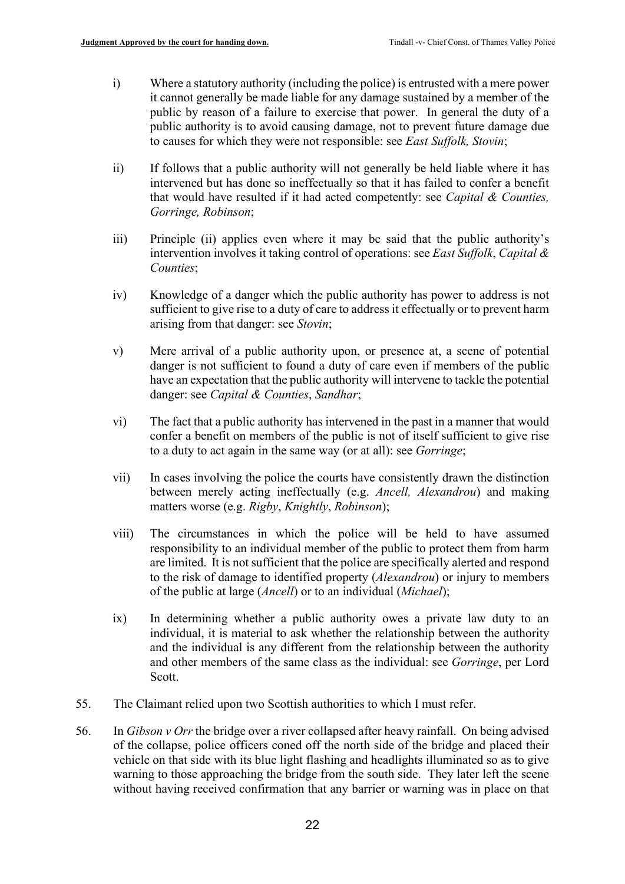- i) Where a statutory authority (including the police) is entrusted with a mere power it cannot generally be made liable for any damage sustained by a member of the public by reason of a failure to exercise that power. In general the duty of a public authority is to avoid causing damage, not to prevent future damage due to causes for which they were not responsible: see *East Suffolk, Stovin*;
- ii) If follows that a public authority will not generally be held liable where it has intervened but has done so ineffectually so that it has failed to confer a benefit that would have resulted if it had acted competently: see *Capital & Counties, Gorringe, Robinson*;
- iii) Principle (ii) applies even where it may be said that the public authority's intervention involves it taking control of operations: see *East Suffolk*, *Capital & Counties*;
- iv) Knowledge of a danger which the public authority has power to address is not sufficient to give rise to a duty of care to address it effectually or to prevent harm arising from that danger: see *Stovin*;
- v) Mere arrival of a public authority upon, or presence at, a scene of potential danger is not sufficient to found a duty of care even if members of the public have an expectation that the public authority will intervene to tackle the potential danger: see *Capital & Counties*, *Sandhar*;
- vi) The fact that a public authority has intervened in the past in a manner that would confer a benefit on members of the public is not of itself sufficient to give rise to a duty to act again in the same way (or at all): see *Gorringe*;
- vii) In cases involving the police the courts have consistently drawn the distinction between merely acting ineffectually (e.g. *Ancell, Alexandrou*) and making matters worse (e.g. *Rigby*, *Knightly*, *Robinson*);
- viii) The circumstances in which the police will be held to have assumed responsibility to an individual member of the public to protect them from harm are limited. It is not sufficient that the police are specifically alerted and respond to the risk of damage to identified property (*Alexandrou*) or injury to members of the public at large (*Ancell*) or to an individual (*Michael*);
- ix) In determining whether a public authority owes a private law duty to an individual, it is material to ask whether the relationship between the authority and the individual is any different from the relationship between the authority and other members of the same class as the individual: see *Gorringe*, per Lord Scott.
- 55. The Claimant relied upon two Scottish authorities to which I must refer.
- 56. In *Gibson v Orr* the bridge over a river collapsed after heavy rainfall. On being advised of the collapse, police officers coned off the north side of the bridge and placed their vehicle on that side with its blue light flashing and headlights illuminated so as to give warning to those approaching the bridge from the south side. They later left the scene without having received confirmation that any barrier or warning was in place on that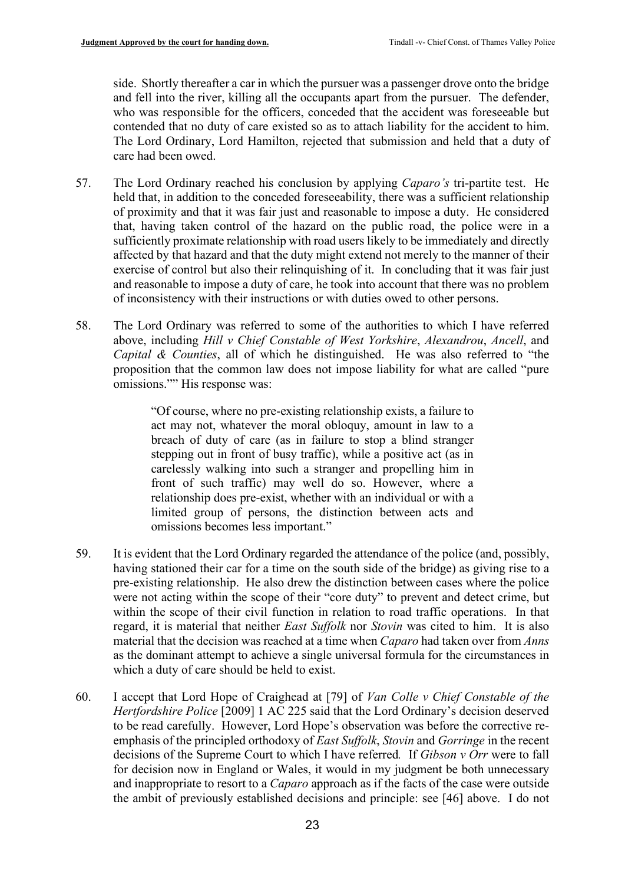side. Shortly thereafter a car in which the pursuer was a passenger drove onto the bridge and fell into the river, killing all the occupants apart from the pursuer. The defender, who was responsible for the officers, conceded that the accident was foreseeable but contended that no duty of care existed so as to attach liability for the accident to him. The Lord Ordinary, Lord Hamilton, rejected that submission and held that a duty of care had been owed.

- 57. The Lord Ordinary reached his conclusion by applying *Caparo's* tri-partite test. He held that, in addition to the conceded foreseeability, there was a sufficient relationship of proximity and that it was fair just and reasonable to impose a duty. He considered that, having taken control of the hazard on the public road, the police were in a sufficiently proximate relationship with road users likely to be immediately and directly affected by that hazard and that the duty might extend not merely to the manner of their exercise of control but also their relinquishing of it. In concluding that it was fair just and reasonable to impose a duty of care, he took into account that there was no problem of inconsistency with their instructions or with duties owed to other persons.
- 58. The Lord Ordinary was referred to some of the authorities to which I have referred above, including *Hill v Chief Constable of West Yorkshire*, *Alexandrou*, *Ancell*, and *Capital & Counties*, all of which he distinguished. He was also referred to "the proposition that the common law does not impose liability for what are called "pure omissions."" His response was:

"Of course, where no pre-existing relationship exists, a failure to act may not, whatever the moral obloquy, amount in law to a breach of duty of care (as in failure to stop a blind stranger stepping out in front of busy traffic), while a positive act (as in carelessly walking into such a stranger and propelling him in front of such traffic) may well do so. However, where a relationship does pre-exist, whether with an individual or with a limited group of persons, the distinction between acts and omissions becomes less important."

- 59. It is evident that the Lord Ordinary regarded the attendance of the police (and, possibly, having stationed their car for a time on the south side of the bridge) as giving rise to a pre-existing relationship. He also drew the distinction between cases where the police were not acting within the scope of their "core duty" to prevent and detect crime, but within the scope of their civil function in relation to road traffic operations. In that regard, it is material that neither *East Suffolk* nor *Stovin* was cited to him. It is also material that the decision was reached at a time when *Caparo* had taken over from *Anns*  as the dominant attempt to achieve a single universal formula for the circumstances in which a duty of care should be held to exist.
- 60. I accept that Lord Hope of Craighead at [79] of *Van Colle v Chief Constable of the Hertfordshire Police* [2009] 1 AC 225 said that the Lord Ordinary's decision deserved to be read carefully. However, Lord Hope's observation was before the corrective reemphasis of the principled orthodoxy of *East Suffolk*, *Stovin* and *Gorringe* in the recent decisions of the Supreme Court to which I have referred*.* If *Gibson v Orr* were to fall for decision now in England or Wales, it would in my judgment be both unnecessary and inappropriate to resort to a *Caparo* approach as if the facts of the case were outside the ambit of previously established decisions and principle: see [46] above. I do not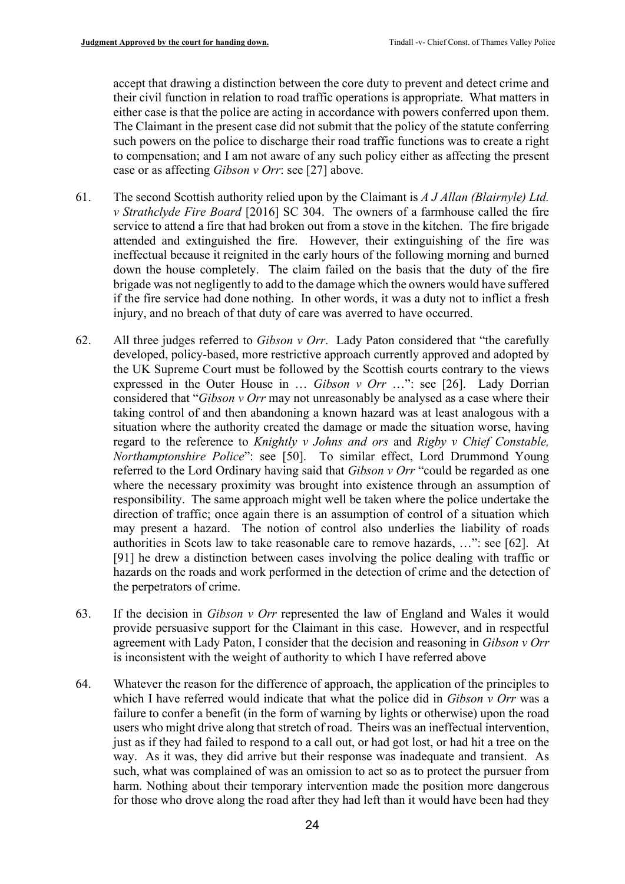accept that drawing a distinction between the core duty to prevent and detect crime and their civil function in relation to road traffic operations is appropriate. What matters in either case is that the police are acting in accordance with powers conferred upon them. The Claimant in the present case did not submit that the policy of the statute conferring such powers on the police to discharge their road traffic functions was to create a right to compensation; and I am not aware of any such policy either as affecting the present case or as affecting *Gibson v Orr*: see [\[27\]](#page-11-0) above.

- 61. The second Scottish authority relied upon by the Claimant is *A J Allan (Blairnyle) Ltd. v Strathclyde Fire Board* [2016] SC 304. The owners of a farmhouse called the fire service to attend a fire that had broken out from a stove in the kitchen. The fire brigade attended and extinguished the fire. However, their extinguishing of the fire was ineffectual because it reignited in the early hours of the following morning and burned down the house completely. The claim failed on the basis that the duty of the fire brigade was not negligently to add to the damage which the owners would have suffered if the fire service had done nothing. In other words, it was a duty not to inflict a fresh injury, and no breach of that duty of care was averred to have occurred.
- 62. All three judges referred to *Gibson v Orr*. Lady Paton considered that "the carefully developed, policy-based, more restrictive approach currently approved and adopted by the UK Supreme Court must be followed by the Scottish courts contrary to the views expressed in the Outer House in … *Gibson v Orr* …": see [26]. Lady Dorrian considered that "*Gibson v Orr* may not unreasonably be analysed as a case where their taking control of and then abandoning a known hazard was at least analogous with a situation where the authority created the damage or made the situation worse, having regard to the reference to *Knightly v Johns and ors* and *Rigby v Chief Constable, Northamptonshire Police*": see [50]. To similar effect, Lord Drummond Young referred to the Lord Ordinary having said that *Gibson v Orr* "could be regarded as one where the necessary proximity was brought into existence through an assumption of responsibility. The same approach might well be taken where the police undertake the direction of traffic; once again there is an assumption of control of a situation which may present a hazard. The notion of control also underlies the liability of roads authorities in Scots law to take reasonable care to remove hazards, …": see [62]. At [91] he drew a distinction between cases involving the police dealing with traffic or hazards on the roads and work performed in the detection of crime and the detection of the perpetrators of crime.
- 63. If the decision in *Gibson v Orr* represented the law of England and Wales it would provide persuasive support for the Claimant in this case. However, and in respectful agreement with Lady Paton, I consider that the decision and reasoning in *Gibson v Orr*  is inconsistent with the weight of authority to which I have referred above
- 64. Whatever the reason for the difference of approach, the application of the principles to which I have referred would indicate that what the police did in *Gibson v Orr* was a failure to confer a benefit (in the form of warning by lights or otherwise) upon the road users who might drive along that stretch of road. Theirs was an ineffectual intervention, just as if they had failed to respond to a call out, or had got lost, or had hit a tree on the way. As it was, they did arrive but their response was inadequate and transient. As such, what was complained of was an omission to act so as to protect the pursuer from harm. Nothing about their temporary intervention made the position more dangerous for those who drove along the road after they had left than it would have been had they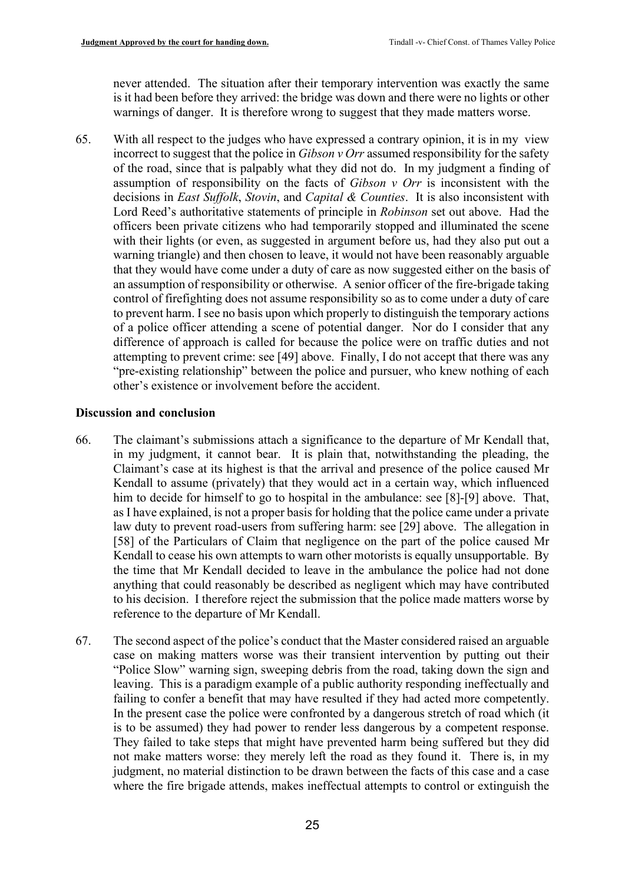never attended. The situation after their temporary intervention was exactly the same is it had been before they arrived: the bridge was down and there were no lights or other warnings of danger. It is therefore wrong to suggest that they made matters worse.

65. With all respect to the judges who have expressed a contrary opinion, it is in my view incorrect to suggest that the police in *Gibson v Orr* assumed responsibility for the safety of the road, since that is palpably what they did not do. In my judgment a finding of assumption of responsibility on the facts of *Gibson v Orr* is inconsistent with the decisions in *East Suffolk*, *Stovin*, and *Capital & Counties*. It is also inconsistent with Lord Reed's authoritative statements of principle in *Robinson* set out above. Had the officers been private citizens who had temporarily stopped and illuminated the scene with their lights (or even, as suggested in argument before us, had they also put out a warning triangle) and then chosen to leave, it would not have been reasonably arguable that they would have come under a duty of care as now suggested either on the basis of an assumption of responsibility or otherwise. A senior officer of the fire-brigade taking control of firefighting does not assume responsibility so as to come under a duty of care to prevent harm. I see no basis upon which properly to distinguish the temporary actions of a police officer attending a scene of potential danger. Nor do I consider that any difference of approach is called for because the police were on traffic duties and not attempting to prevent crime: see [\[49\]](#page-18-0) above. Finally, I do not accept that there was any "pre-existing relationship" between the police and pursuer, who knew nothing of each other's existence or involvement before the accident.

# **Discussion and conclusion**

- 66. The claimant's submissions attach a significance to the departure of Mr Kendall that, in my judgment, it cannot bear. It is plain that, notwithstanding the pleading, the Claimant's case at its highest is that the arrival and presence of the police caused Mr Kendall to assume (privately) that they would act in a certain way, which influenced him to decide for himself to go to hospital in the ambulance: see [\[8\]](#page-4-0)-[\[9\]](#page-4-1) above. That, as I have explained, is not a proper basis for holding that the police came under a private law duty to prevent road-users from suffering harm: see [29] above. The allegation in [58] of the Particulars of Claim that negligence on the part of the police caused Mr Kendall to cease his own attempts to warn other motorists is equally unsupportable. By the time that Mr Kendall decided to leave in the ambulance the police had not done anything that could reasonably be described as negligent which may have contributed to his decision. I therefore reject the submission that the police made matters worse by reference to the departure of Mr Kendall.
- 67. The second aspect of the police's conduct that the Master considered raised an arguable case on making matters worse was their transient intervention by putting out their "Police Slow" warning sign, sweeping debris from the road, taking down the sign and leaving. This is a paradigm example of a public authority responding ineffectually and failing to confer a benefit that may have resulted if they had acted more competently. In the present case the police were confronted by a dangerous stretch of road which (it is to be assumed) they had power to render less dangerous by a competent response. They failed to take steps that might have prevented harm being suffered but they did not make matters worse: they merely left the road as they found it. There is, in my judgment, no material distinction to be drawn between the facts of this case and a case where the fire brigade attends, makes ineffectual attempts to control or extinguish the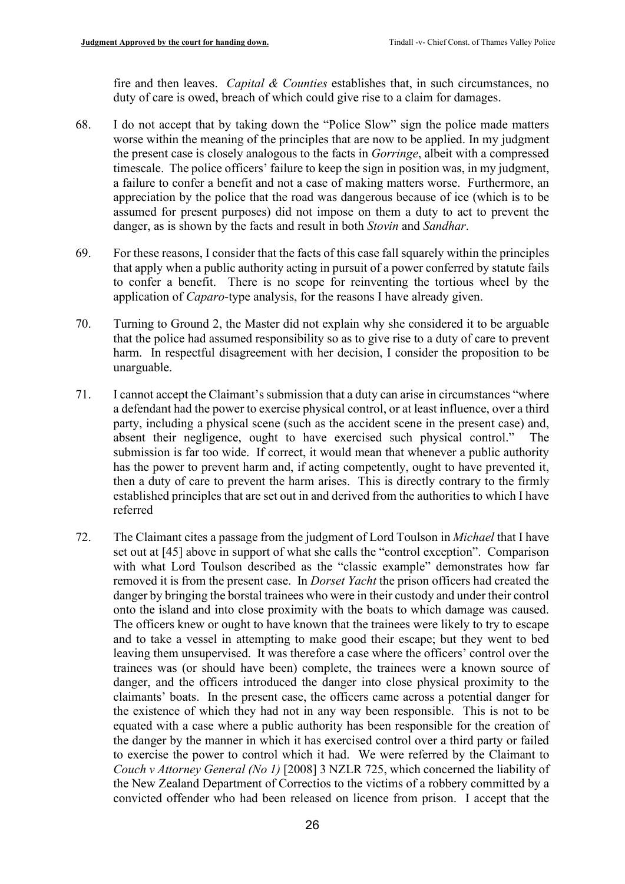fire and then leaves. *Capital & Counties* establishes that, in such circumstances, no duty of care is owed, breach of which could give rise to a claim for damages.

- 68. I do not accept that by taking down the "Police Slow" sign the police made matters worse within the meaning of the principles that are now to be applied. In my judgment the present case is closely analogous to the facts in *Gorringe*, albeit with a compressed timescale. The police officers' failure to keep the sign in position was, in my judgment, a failure to confer a benefit and not a case of making matters worse. Furthermore, an appreciation by the police that the road was dangerous because of ice (which is to be assumed for present purposes) did not impose on them a duty to act to prevent the danger, as is shown by the facts and result in both *Stovin* and *Sandhar*.
- 69. For these reasons, I consider that the facts of this case fall squarely within the principles that apply when a public authority acting in pursuit of a power conferred by statute fails to confer a benefit. There is no scope for reinventing the tortious wheel by the application of *Caparo*-type analysis, for the reasons I have already given.
- 70. Turning to Ground 2, the Master did not explain why she considered it to be arguable that the police had assumed responsibility so as to give rise to a duty of care to prevent harm. In respectful disagreement with her decision, I consider the proposition to be unarguable.
- 71. I cannot accept the Claimant's submission that a duty can arise in circumstances "where a defendant had the power to exercise physical control, or at least influence, over a third party, including a physical scene (such as the accident scene in the present case) and, absent their negligence, ought to have exercised such physical control." The submission is far too wide. If correct, it would mean that whenever a public authority has the power to prevent harm and, if acting competently, ought to have prevented it, then a duty of care to prevent the harm arises. This is directly contrary to the firmly established principles that are set out in and derived from the authorities to which I have referred
- 72. The Claimant cites a passage from the judgment of Lord Toulson in *Michael* that I have set out at [\[45\]](#page-15-0) above in support of what she calls the "control exception". Comparison with what Lord Toulson described as the "classic example" demonstrates how far removed it is from the present case. In *Dorset Yacht* the prison officers had created the danger by bringing the borstal trainees who were in their custody and under their control onto the island and into close proximity with the boats to which damage was caused. The officers knew or ought to have known that the trainees were likely to try to escape and to take a vessel in attempting to make good their escape; but they went to bed leaving them unsupervised. It was therefore a case where the officers' control over the trainees was (or should have been) complete, the trainees were a known source of danger, and the officers introduced the danger into close physical proximity to the claimants' boats. In the present case, the officers came across a potential danger for the existence of which they had not in any way been responsible. This is not to be equated with a case where a public authority has been responsible for the creation of the danger by the manner in which it has exercised control over a third party or failed to exercise the power to control which it had. We were referred by the Claimant to *Couch v Attorney General (No 1)* [2008] 3 NZLR 725, which concerned the liability of the New Zealand Department of Correctios to the victims of a robbery committed by a convicted offender who had been released on licence from prison. I accept that the